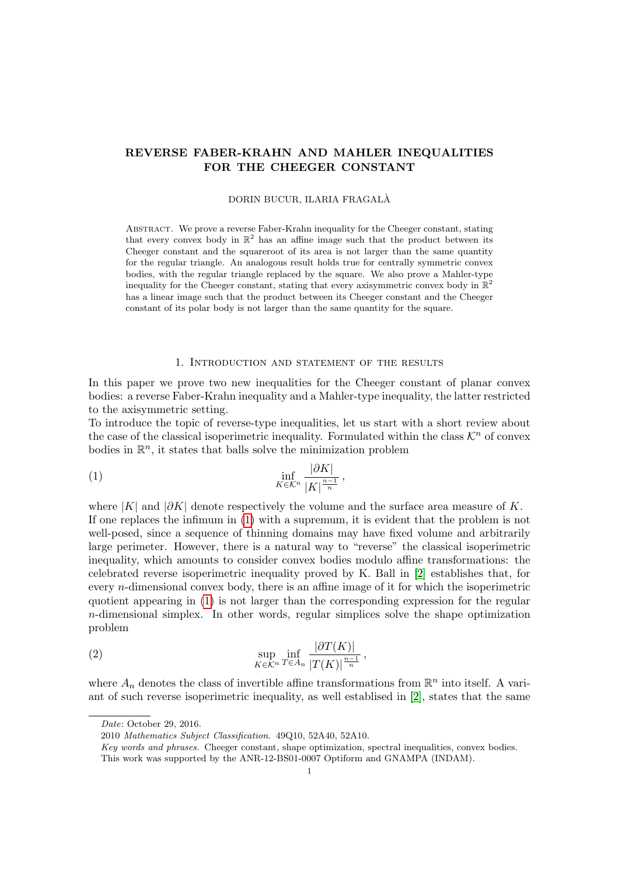# REVERSE FABER-KRAHN AND MAHLER INEQUALITIES FOR THE CHEEGER CONSTANT

### DORIN BUCUR, ILARIA FRAGALA`

Abstract. We prove a reverse Faber-Krahn inequality for the Cheeger constant, stating that every convex body in  $\mathbb{R}^2$  has an affine image such that the product between its Cheeger constant and the squareroot of its area is not larger than the same quantity for the regular triangle. An analogous result holds true for centrally symmetric convex bodies, with the regular triangle replaced by the square. We also prove a Mahler-type inequality for the Cheeger constant, stating that every axisymmetric convex body in  $\mathbb{R}^2$ has a linear image such that the product between its Cheeger constant and the Cheeger constant of its polar body is not larger than the same quantity for the square.

### <span id="page-0-0"></span>1. Introduction and statement of the results

In this paper we prove two new inequalities for the Cheeger constant of planar convex bodies: a reverse Faber-Krahn inequality and a Mahler-type inequality, the latter restricted to the axisymmetric setting.

To introduce the topic of reverse-type inequalities, let us start with a short review about the case of the classical isoperimetric inequality. Formulated within the class  $\mathcal{K}^n$  of convex bodies in  $\mathbb{R}^n$ , it states that balls solve the minimization problem

$$
\inf_{K \in \mathcal{K}^n} \frac{|\partial K|}{|K|^{\frac{n-1}{n}}},
$$

where  $|K|$  and  $|\partial K|$  denote respectively the volume and the surface area measure of K. If one replaces the infimum in [\(1\)](#page-0-0) with a supremum, it is evident that the problem is not well-posed, since a sequence of thinning domains may have fixed volume and arbitrarily large perimeter. However, there is a natural way to "reverse" the classical isoperimetric inequality, which amounts to consider convex bodies modulo affine transformations: the celebrated reverse isoperimetric inequality proved by K. Ball in [\[2\]](#page-21-0) establishes that, for every n-dimensional convex body, there is an affine image of it for which the isoperimetric quotient appearing in [\(1\)](#page-0-0) is not larger than the corresponding expression for the regular n-dimensional simplex. In other words, regular simplices solve the shape optimization problem

(2) 
$$
\sup_{K \in \mathcal{K}^n} \inf_{T \in A_n} \frac{|\partial T(K)|}{|T(K)|^{\frac{n-1}{n}}},
$$

where  $A_n$  denotes the class of invertible affine transformations from  $\mathbb{R}^n$  into itself. A variant of such reverse isoperimetric inequality, as well establised in [\[2\]](#page-21-0), states that the same

Date: October 29, 2016.

<sup>2010</sup> Mathematics Subject Classification. 49Q10, 52A40, 52A10.

Key words and phrases. Cheeger constant, shape optimization, spectral inequalities, convex bodies. This work was supported by the ANR-12-BS01-0007 Optiform and GNAMPA (INDAM).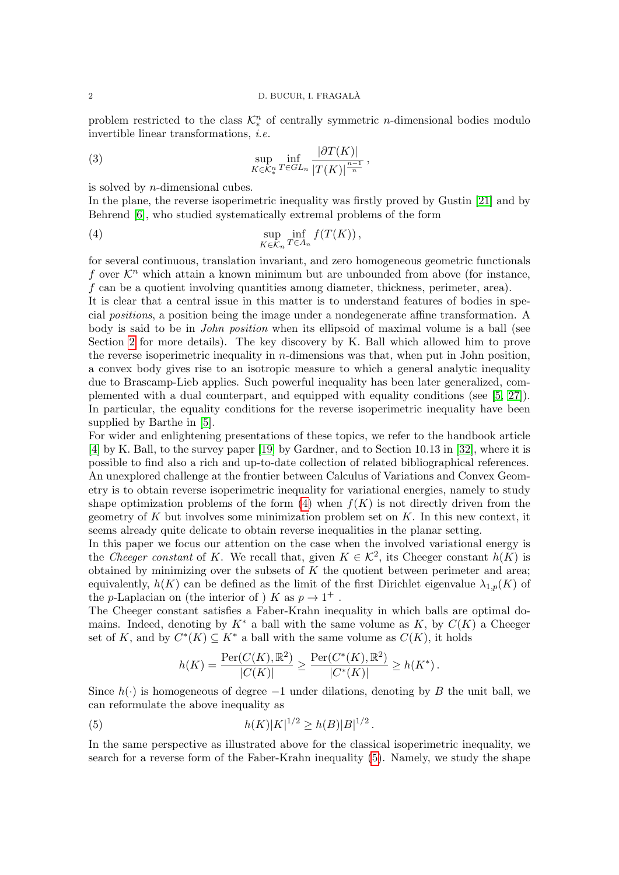problem restricted to the class  $\mathcal{K}_*^n$  of centrally symmetric *n*-dimensional bodies modulo invertible linear transformations, i.e.

(3) 
$$
\sup_{K \in \mathcal{K}_{\pi}^n} \inf_{T \in GL_n} \frac{|\partial T(K)|}{|T(K)|^{\frac{n-1}{n}}},
$$

is solved by n-dimensional cubes.

In the plane, the reverse isoperimetric inequality was firstly proved by Gustin [\[21\]](#page-21-1) and by Behrend [\[6\]](#page-21-2), who studied systematically extremal problems of the form

<span id="page-1-0"></span>(4) 
$$
\sup_{K \in \mathcal{K}_n} \inf_{T \in A_n} f(T(K)),
$$

for several continuous, translation invariant, and zero homogeneous geometric functionals f over  $\mathcal{K}^n$  which attain a known minimum but are unbounded from above (for instance, f can be a quotient involving quantities among diameter, thickness, perimeter, area).

It is clear that a central issue in this matter is to understand features of bodies in special positions, a position being the image under a nondegenerate affine transformation. A body is said to be in *John position* when its ellipsoid of maximal volume is a ball (see Section [2](#page-4-0) for more details). The key discovery by K. Ball which allowed him to prove the reverse isoperimetric inequality in  $n$ -dimensions was that, when put in John position, a convex body gives rise to an isotropic measure to which a general analytic inequality due to Brascamp-Lieb applies. Such powerful inequality has been later generalized, complemented with a dual counterpart, and equipped with equality conditions (see [\[5,](#page-21-3) [27\]](#page-22-0)). In particular, the equality conditions for the reverse isoperimetric inequality have been supplied by Barthe in [\[5\]](#page-21-3).

For wider and enlightening presentations of these topics, we refer to the handbook article [\[4\]](#page-21-4) by K. Ball, to the survey paper [\[19\]](#page-21-5) by Gardner, and to Section 10.13 in [\[32\]](#page-22-1), where it is possible to find also a rich and up-to-date collection of related bibliographical references. An unexplored challenge at the frontier between Calculus of Variations and Convex Geometry is to obtain reverse isoperimetric inequality for variational energies, namely to study shape optimization problems of the form  $(4)$  when  $f(K)$  is not directly driven from the geometry of  $K$  but involves some minimization problem set on  $K$ . In this new context, it seems already quite delicate to obtain reverse inequalities in the planar setting.

In this paper we focus our attention on the case when the involved variational energy is the Cheeger constant of K. We recall that, given  $K \in \mathcal{K}^2$ , its Cheeger constant  $h(K)$  is obtained by minimizing over the subsets of  $K$  the quotient between perimeter and area; equivalently,  $h(K)$  can be defined as the limit of the first Dirichlet eigenvalue  $\lambda_{1,p}(K)$  of the p-Laplacian on (the interior of ) K as  $p \to 1^+$ .

The Cheeger constant satisfies a Faber-Krahn inequality in which balls are optimal domains. Indeed, denoting by  $K^*$  a ball with the same volume as  $K$ , by  $C(K)$  a Cheeger set of K, and by  $C^*(K) \subseteq K^*$  a ball with the same volume as  $C(K)$ , it holds

<span id="page-1-1"></span>
$$
h(K) = \frac{\operatorname{Per}(C(K), \mathbb{R}^2)}{|C(K)|} \ge \frac{\operatorname{Per}(C^*(K), \mathbb{R}^2)}{|C^*(K)|} \ge h(K^*)\,.
$$

Since  $h(\cdot)$  is homogeneous of degree  $-1$  under dilations, denoting by B the unit ball, we can reformulate the above inequality as

(5) 
$$
h(K)|K|^{1/2} \ge h(B)|B|^{1/2}.
$$

In the same perspective as illustrated above for the classical isoperimetric inequality, we search for a reverse form of the Faber-Krahn inequality [\(5\)](#page-1-1). Namely, we study the shape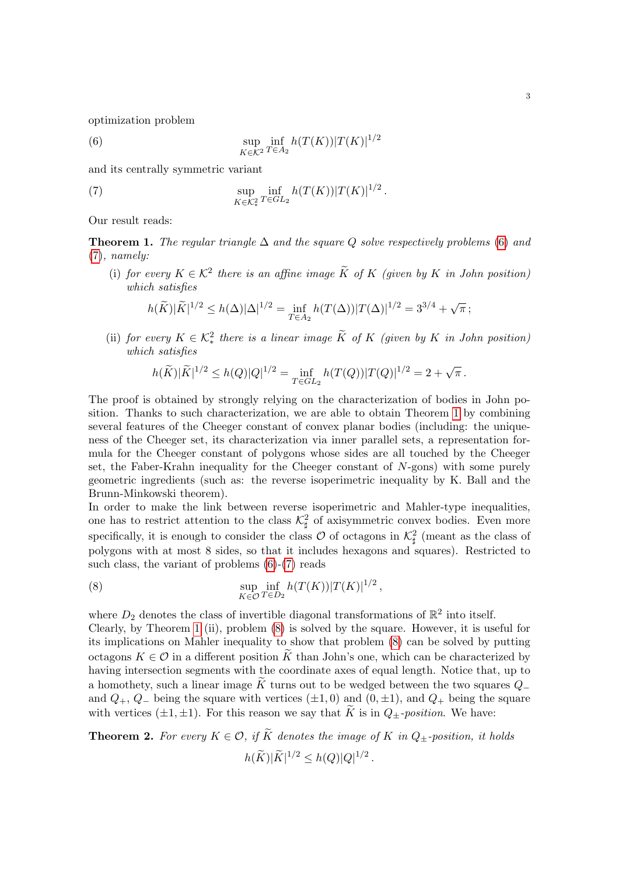optimization problem

<span id="page-2-0"></span>(6) 
$$
\sup_{K \in \mathcal{K}^2} \inf_{T \in A_2} h(T(K)) |T(K)|^{1/2}
$$

and its centrally symmetric variant

(7) 
$$
\sup_{K \in \mathcal{K}_*^2} \inf_{T \in GL_2} h(T(K)) |T(K)|^{1/2}.
$$

Our result reads:

<span id="page-2-2"></span>**Theorem 1.** The regular triangle  $\Delta$  and the square Q solve respectively problems [\(6\)](#page-2-0) and [\(7\)](#page-2-1), namely:

(i) for every  $K \in \mathcal{K}^2$  there is an affine image  $\widetilde{K}$  of  $K$  (given by  $K$  in John position) which satisfies

<span id="page-2-1"></span>
$$
h(\widetilde{K})|\widetilde{K}|^{1/2} \leq h(\Delta)|\Delta|^{1/2} = \inf_{T \in A_2} h(T(\Delta))|T(\Delta)|^{1/2} = 3^{3/4} + \sqrt{\pi};
$$

(ii) for every  $K \in \mathcal{K}^2_*$  there is a linear image  $\widetilde{K}$  of  $K$  (given by  $K$  in John position) which satisfies

$$
h(\widetilde{K})|\widetilde{K}|^{1/2} \le h(Q)|Q|^{1/2} = \inf_{T \in GL_2} h(T(Q))|T(Q)|^{1/2} = 2 + \sqrt{\pi}.
$$

The proof is obtained by strongly relying on the characterization of bodies in John position. Thanks to such characterization, we are able to obtain Theorem [1](#page-2-2) by combining several features of the Cheeger constant of convex planar bodies (including: the uniqueness of the Cheeger set, its characterization via inner parallel sets, a representation formula for the Cheeger constant of polygons whose sides are all touched by the Cheeger set, the Faber-Krahn inequality for the Cheeger constant of  $N$ -gons) with some purely geometric ingredients (such as: the reverse isoperimetric inequality by K. Ball and the Brunn-Minkowski theorem).

In order to make the link between reverse isoperimetric and Mahler-type inequalities, one has to restrict attention to the class  $\mathcal{K}_{\sharp}^2$  of axisymmetric convex bodies. Even more specifically, it is enough to consider the class  $\mathcal O$  of octagons in  $\mathcal K^2_\sharp$  (meant as the class of polygons with at most 8 sides, so that it includes hexagons and squares). Restricted to such class, the variant of problems  $(6)-(7)$  $(6)-(7)$  reads

<span id="page-2-3"></span>(8) 
$$
\sup_{K \in \mathcal{O}} \inf_{T \in D_2} h(T(K)) |T(K)|^{1/2},
$$

where  $D_2$  denotes the class of invertible diagonal transformations of  $\mathbb{R}^2$  into itself.

Clearly, by Theorem [1](#page-2-2) (ii), problem [\(8\)](#page-2-3) is solved by the square. However, it is useful for its implications on Mahler inequality to show that problem [\(8\)](#page-2-3) can be solved by putting octagons  $K \in \mathcal{O}$  in a different position K than John's one, which can be characterized by having intersection segments with the coordinate axes of equal length. Notice that, up to a homothety, such a linear image K turns out to be wedged between the two squares  $Q_-\$ and  $Q_+$ ,  $Q_-$  being the square with vertices ( $\pm 1, 0$ ) and  $(0, \pm 1)$ , and  $Q_+$  being the square with vertices ( $\pm 1, \pm 1$ ). For this reason we say that  $\widetilde{K}$  is in  $Q_{\pm}$ -position. We have:

<span id="page-2-4"></span>**Theorem 2.** For every  $K \in \mathcal{O}$ , if  $\widetilde{K}$  denotes the image of K in  $Q_{\pm}$ -position, it holds

$$
h(\widetilde{K})|\widetilde{K}|^{1/2} \leq h(Q)|Q|^{1/2}.
$$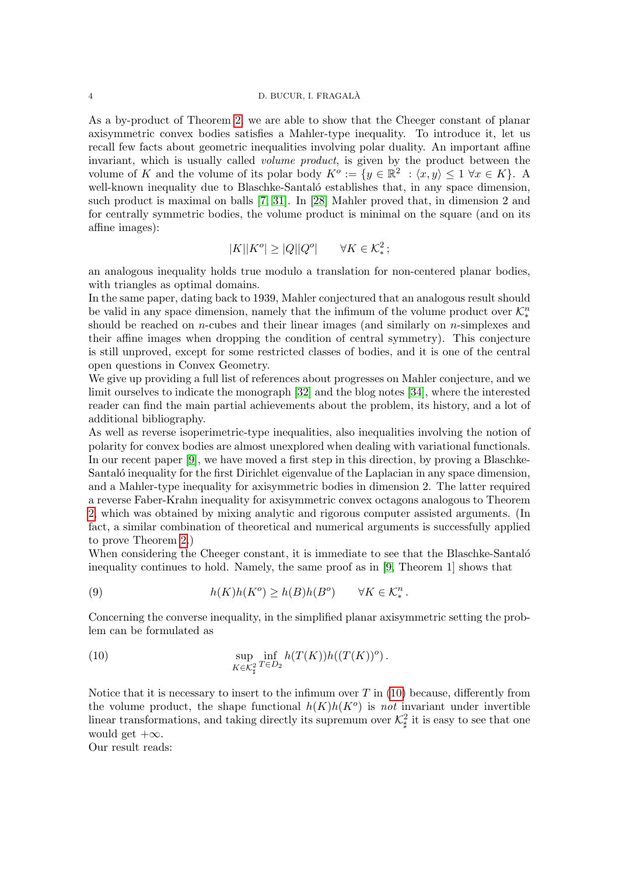### 4 D. BUCUR, I. FRAGALA`

As a by-product of Theorem [2,](#page-2-4) we are able to show that the Cheeger constant of planar axisymmetric convex bodies satisfies a Mahler-type inequality. To introduce it, let us recall few facts about geometric inequalities involving polar duality. An important affine invariant, which is usually called volume product, is given by the product between the volume of K and the volume of its polar body  $K^o := \{y \in \mathbb{R}^2 : \langle x, y \rangle \leq 1 \ \forall x \in K\}$ . A well-known inequality due to Blaschke-Santaló establishes that, in any space dimension, such product is maximal on balls [\[7,](#page-21-6) [31\]](#page-22-2). In [\[28\]](#page-22-3) Mahler proved that, in dimension 2 and for centrally symmetric bodies, the volume product is minimal on the square (and on its affine images):

$$
|K||K^o| \ge |Q||Q^o| \qquad \forall K \in \mathcal{K}_*^2;
$$

an analogous inequality holds true modulo a translation for non-centered planar bodies, with triangles as optimal domains.

In the same paper, dating back to 1939, Mahler conjectured that an analogous result should be valid in any space dimension, namely that the infimum of the volume product over  $\mathcal{K}_{*}^{n}$ should be reached on *n*-cubes and their linear images (and similarly on *n*-simplexes and their affine images when dropping the condition of central symmetry). This conjecture is still unproved, except for some restricted classes of bodies, and it is one of the central open questions in Convex Geometry.

We give up providing a full list of references about progresses on Mahler conjecture, and we limit ourselves to indicate the monograph [\[32\]](#page-22-1) and the blog notes [\[34\]](#page-22-4), where the interested reader can find the main partial achievements about the problem, its history, and a lot of additional bibliography.

As well as reverse isoperimetric-type inequalities, also inequalities involving the notion of polarity for convex bodies are almost unexplored when dealing with variational functionals. In our recent paper [\[9\]](#page-21-7), we have moved a first step in this direction, by proving a Blaschke-Santaló inequality for the first Dirichlet eigenvalue of the Laplacian in any space dimension, and a Mahler-type inequality for axisymmetric bodies in dimension 2. The latter required a reverse Faber-Krahn inequality for axisymmetric convex octagons analogous to Theorem [2,](#page-2-4) which was obtained by mixing analytic and rigorous computer assisted arguments. (In fact, a similar combination of theoretical and numerical arguments is successfully applied to prove Theorem [2.](#page-2-4))

When considering the Cheeger constant, it is immediate to see that the Blaschke-Santalo inequality continues to hold. Namely, the same proof as in [\[9,](#page-21-7) Theorem 1] shows that

(9) 
$$
h(K)h(K^o) \ge h(B)h(B^o) \qquad \forall K \in \mathcal{K}^n_*.
$$

Concerning the converse inequality, in the simplified planar axisymmetric setting the problem can be formulated as

<span id="page-3-0"></span>(10) 
$$
\sup_{K \in \mathcal{K}_{\sharp}^{2}} \inf_{T \in D_{2}} h(T(K))h((T(K))^o).
$$

Notice that it is necessary to insert to the infimum over  $T$  in [\(10\)](#page-3-0) because, differently from the volume product, the shape functional  $h(K)h(K^o)$  is not invariant under invertible linear transformations, and taking directly its supremum over  $\mathcal{K}_{\sharp}^2$  it is easy to see that one would get  $+\infty$ .

Our result reads: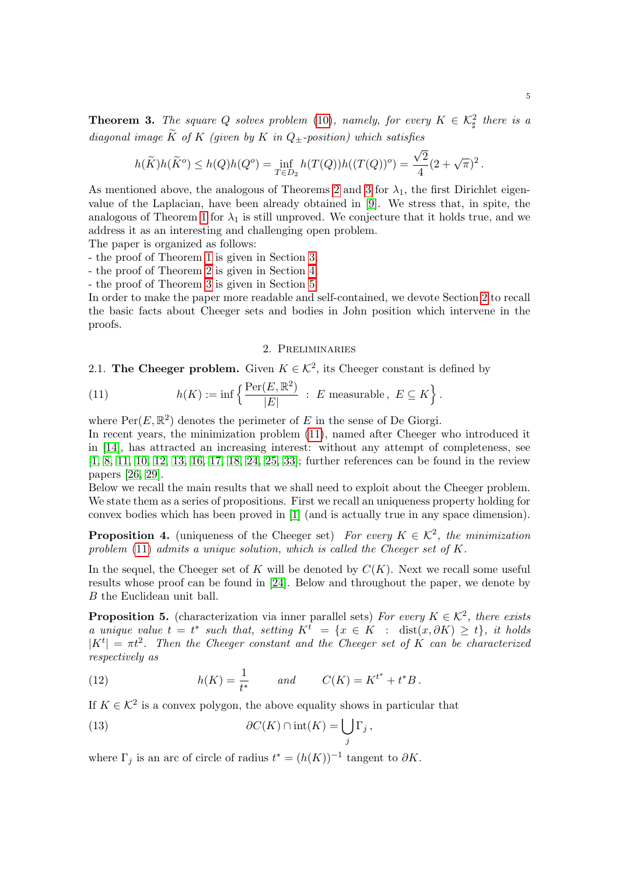<span id="page-4-1"></span>**Theorem 3.** The square Q solves problem [\(10\)](#page-3-0), namely, for every  $K \in \mathcal{K}^2_{\sharp}$  there is a diagonal image  $\widetilde{K}$  of K (given by K in Q+-position) which satisfies √

$$
h(\widetilde{K})h(\widetilde{K}^o) \le h(Q)h(Q^o) = \inf_{T \in D_2} h(T(Q))h((T(Q))^o) = \frac{\sqrt{2}}{4}(2+\sqrt{\pi})^2.
$$

As mentioned above, the analogous of Theorems [2](#page-2-4) and [3](#page-4-1) for  $\lambda_1$ , the first Dirichlet eigenvalue of the Laplacian, have been already obtained in [\[9\]](#page-21-7). We stress that, in spite, the analogous of Theorem [1](#page-2-2) for  $\lambda_1$  is still unproved. We conjecture that it holds true, and we address it as an interesting and challenging open problem.

The paper is organized as follows:

- the proof of Theorem [1](#page-2-2) is given in Section [3;](#page-6-0)

- the proof of Theorem [2](#page-2-4) is given in Section [4;](#page-12-0)

- the proof of Theorem [3](#page-4-1) is given in Section [5.](#page-20-0)

In order to make the paper more readable and self-contained, we devote Section [2](#page-4-0) to recall the basic facts about Cheeger sets and bodies in John position which intervene in the proofs.

## 2. Preliminaries

# <span id="page-4-0"></span>2.1. The Cheeger problem. Given  $K \in \mathcal{K}^2$ , its Cheeger constant is defined by

<span id="page-4-2"></span>(11) 
$$
h(K) := \inf \left\{ \frac{\text{Per}(E, \mathbb{R}^2)}{|E|} : E \text{ measurable, } E \subseteq K \right\}.
$$

where  $\text{Per}(E, \mathbb{R}^2)$  denotes the perimeter of E in the sense of De Giorgi.

In recent years, the minimization problem [\(11\)](#page-4-2), named after Cheeger who introduced it in [\[14\]](#page-21-8), has attracted an increasing interest: without any attempt of completeness, see [\[1,](#page-21-9) [8,](#page-21-10) [11,](#page-21-11) [10,](#page-21-12) [12,](#page-21-13) [13,](#page-21-14) [16,](#page-21-15) [17,](#page-21-16) [18,](#page-21-17) [24,](#page-21-18) [25,](#page-22-5) [33\]](#page-22-6); further references can be found in the review papers [\[26,](#page-22-7) [29\]](#page-22-8).

Below we recall the main results that we shall need to exploit about the Cheeger problem. We state them as a series of propositions. First we recall an uniqueness property holding for convex bodies which has been proved in [\[1\]](#page-21-9) (and is actually true in any space dimension).

<span id="page-4-6"></span>**Proposition 4.** (uniqueness of the Cheeger set) For every  $K \in \mathcal{K}^2$ , the minimization problem  $(11)$  admits a unique solution, which is called the Cheeger set of K.

In the sequel, the Cheeger set of K will be denoted by  $C(K)$ . Next we recall some useful results whose proof can be found in [\[24\]](#page-21-18). Below and throughout the paper, we denote by B the Euclidean unit ball.

<span id="page-4-4"></span>**Proposition 5.** (characterization via inner parallel sets) For every  $K \in \mathcal{K}^2$ , there exists a unique value  $t = t^*$  such that, setting  $K^t = \{x \in K : \text{dist}(x, \partial K) \geq t\}$ , it holds  $|K^t| = \pi t^2$ . Then the Cheeger constant and the Cheeger set of K can be characterized respectively as

<span id="page-4-3"></span>(12) 
$$
h(K) = \frac{1}{t^*} \quad and \quad C(K) = K^{t^*} + t^*B.
$$

If  $K \in \mathcal{K}^2$  is a convex polygon, the above equality shows in particular that

<span id="page-4-5"></span>(13) 
$$
\partial C(K) \cap \text{int}(K) = \bigcup_{j} \Gamma_{j},
$$

where  $\Gamma_j$  is an arc of circle of radius  $t^* = (h(K))^{-1}$  tangent to  $\partial K$ .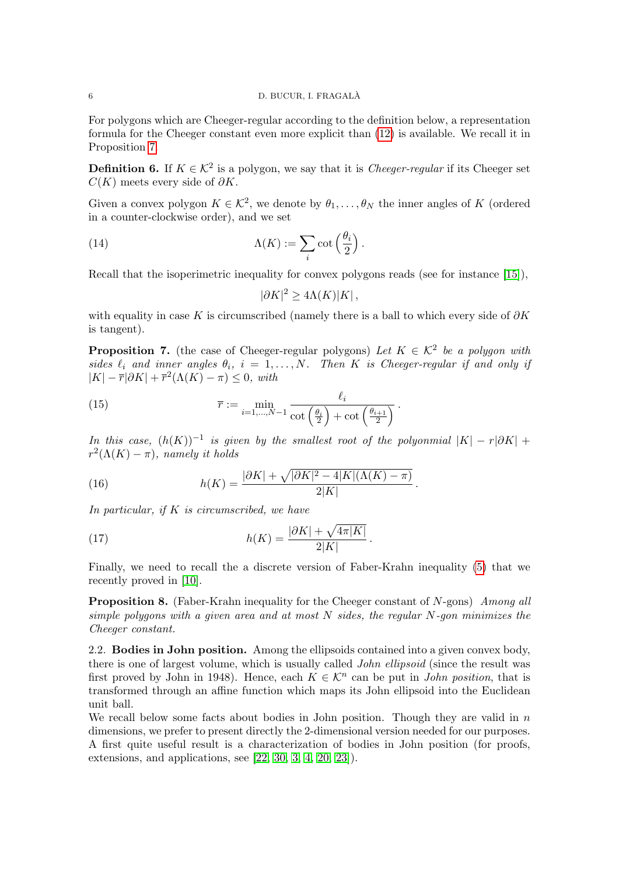### 6 D. BUCUR, I. FRAGALA`

For polygons which are Cheeger-regular according to the definition below, a representation formula for the Cheeger constant even more explicit than [\(12\)](#page-4-3) is available. We recall it in Proposition [7.](#page-5-0)

**Definition 6.** If  $K \in \mathcal{K}^2$  is a polygon, we say that it is *Cheeger-regular* if its Cheeger set  $C(K)$  meets every side of  $\partial K$ .

Given a convex polygon  $K \in \mathcal{K}^2$ , we denote by  $\theta_1, \ldots, \theta_N$  the inner angles of K (ordered in a counter-clockwise order), and we set

(14) 
$$
\Lambda(K) := \sum_{i} \cot\left(\frac{\theta_i}{2}\right).
$$

Recall that the isoperimetric inequality for convex polygons reads (see for instance [\[15\]](#page-21-19)),

<span id="page-5-3"></span><span id="page-5-1"></span>
$$
|\partial K|^2 \ge 4\Lambda(K)|K|,
$$

with equality in case K is circumscribed (namely there is a ball to which every side of  $\partial K$ is tangent).

<span id="page-5-0"></span>**Proposition 7.** (the case of Cheeger-regular polygons) Let  $K \in \mathcal{K}^2$  be a polygon with sides  $\ell_i$  and inner angles  $\theta_i$ ,  $i = 1, ..., N$ . Then K is Cheeger-regular if and only if  $|K| - \overline{r}|\partial K| + \overline{r}^2(\Lambda(K) - \pi) \leq 0$ , with

(15) 
$$
\overline{r} := \min_{i=1,\dots,N-1} \frac{\ell_i}{\cot\left(\frac{\theta_i}{2}\right) + \cot\left(\frac{\theta_{i+1}}{2}\right)}.
$$

In this case,  $(h(K))^{-1}$  is given by the smallest root of the polyonmial  $|K| - r|\partial K| +$  $r^2(\Lambda(K) - \pi)$ , namely it holds

<span id="page-5-2"></span>(16) 
$$
h(K) = \frac{|\partial K| + \sqrt{|\partial K|^2 - 4|K|(\Lambda(K) - \pi)}}{2|K|}.
$$

In particular, if K is circumscribed, we have

<span id="page-5-4"></span>(17) 
$$
h(K) = \frac{|\partial K| + \sqrt{4\pi|K|}}{2|K|}.
$$

Finally, we need to recall the a discrete version of Faber-Krahn inequality [\(5\)](#page-1-1) that we recently proved in [\[10\]](#page-21-12).

**Proposition 8.** (Faber-Krahn inequality for the Cheeger constant of  $N$ -gons) Among all simple polygons with a given area and at most  $N$  sides, the regular  $N$ -gon minimizes the Cheeger constant.

2.2. **Bodies in John position.** Among the ellipsoids contained into a given convex body, there is one of largest volume, which is usually called *John ellipsoid* (since the result was first proved by John in 1948). Hence, each  $K \in \mathcal{K}^n$  can be put in *John position*, that is transformed through an affine function which maps its John ellipsoid into the Euclidean unit ball.

We recall below some facts about bodies in John position. Though they are valid in  $n$ dimensions, we prefer to present directly the 2-dimensional version needed for our purposes. A first quite useful result is a characterization of bodies in John position (for proofs, extensions, and applications, see  $[22, 30, 3, 4, 20, 23]$  $[22, 30, 3, 4, 20, 23]$  $[22, 30, 3, 4, 20, 23]$  $[22, 30, 3, 4, 20, 23]$  $[22, 30, 3, 4, 20, 23]$  $[22, 30, 3, 4, 20, 23]$ .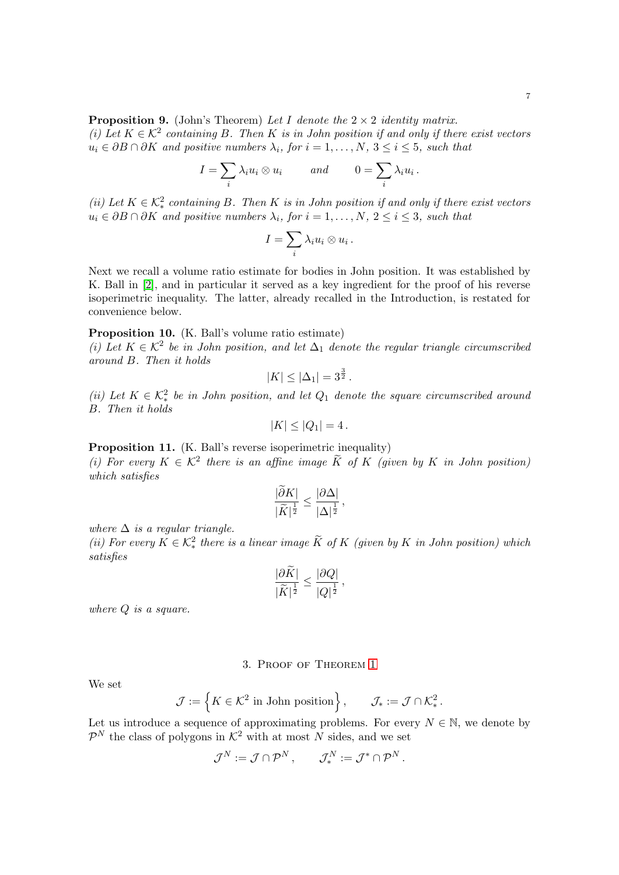<span id="page-6-2"></span>(i) Let  $K \in \mathcal{K}^2$  containing B. Then K is in John position if and only if there exist vectors  $u_i \in \partial B \cap \partial K$  and positive numbers  $\lambda_i$ , for  $i = 1, \ldots, N$ ,  $3 \leq i \leq 5$ , such that

$$
I = \sum_i \lambda_i u_i \otimes u_i \qquad \text{and} \qquad 0 = \sum_i \lambda_i u_i \, .
$$

(ii) Let  $K \in \mathcal{K}^2_*$  containing B. Then K is in John position if and only if there exist vectors  $u_i \in \partial B \cap \partial K$  and positive numbers  $\lambda_i$ , for  $i = 1, \ldots, N$ ,  $2 \leq i \leq 3$ , such that

$$
I=\sum_i\lambda_i u_i\otimes u_i\,.
$$

Next we recall a volume ratio estimate for bodies in John position. It was established by K. Ball in [\[2\]](#page-21-0), and in particular it served as a key ingredient for the proof of his reverse isoperimetric inequality. The latter, already recalled in the Introduction, is restated for convenience below.

### <span id="page-6-1"></span>Proposition 10. (K. Ball's volume ratio estimate)

(i) Let  $K \in \mathcal{K}^2$  be in John position, and let  $\Delta_1$  denote the regular triangle circumscribed around B. Then it holds

$$
|K| \leq |\Delta_1| = 3^{\frac{3}{2}}.
$$

(ii) Let  $K \in \mathcal{K}^2_*$  be in John position, and let  $Q_1$  denote the square circumscribed around B. Then it holds

$$
|K| \le |Q_1| = 4.
$$

<span id="page-6-3"></span>Proposition 11. (K. Ball's reverse isoperimetric inequality)

(i) For every  $K \in \mathcal{K}^2$  there is an affine image  $\widetilde{K}$  of  $K$  (given by  $K$  in John position) which satisfies

$$
\frac{|\partial K|}{|\widetilde{K}|^{\frac{1}{2}}} \le \frac{|\partial \Delta|}{|\Delta|^{\frac{1}{2}}},
$$

where  $\Delta$  is a regular triangle.

(ii) For every  $K \in \mathcal{K}^2_*$  there is a linear image  $\widetilde{K}$  of  $K$  (given by  $K$  in John position) which satisfies

$$
\frac{|\partial \widetilde{K}|}{|\widetilde{K}|^{\frac{1}{2}}} \leq \frac{|\partial Q|}{|Q|^{\frac{1}{2}}},
$$

where  $Q$  is a square.

## 3. Proof of Theorem [1](#page-2-2)

<span id="page-6-0"></span>We set

$$
\mathcal{J} := \left\{ K \in \mathcal{K}^2 \text{ in John position} \right\}, \qquad \mathcal{J}_* := \mathcal{J} \cap \mathcal{K}^2_*.
$$

Let us introduce a sequence of approximating problems. For every  $N \in \mathbb{N}$ , we denote by  $\mathcal{P}^N$  the class of polygons in  $\mathcal{K}^2$  with at most N sides, and we set

$$
\mathcal{J}^N:=\mathcal{J}\cap\mathcal{P}^N\,,\qquad \mathcal{J}^N_*:=\mathcal{J}^*\cap\mathcal{P}^N\,.
$$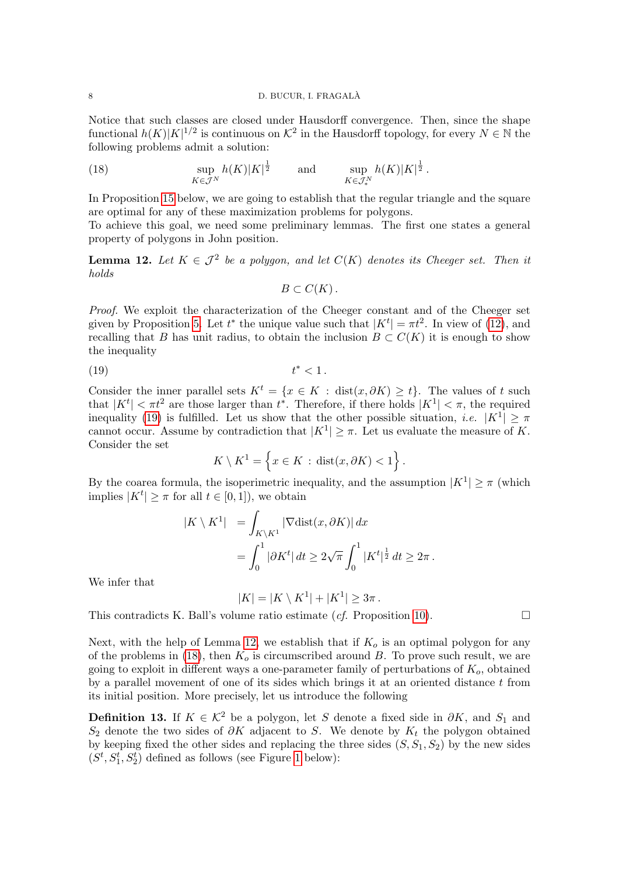Notice that such classes are closed under Hausdorff convergence. Then, since the shape functional  $h(K)|K|^{1/2}$  is continuous on  $\mathcal{K}^2$  in the Hausdorff topology, for every  $N \in \mathbb{N}$  the following problems admit a solution:

<span id="page-7-2"></span>(18) 
$$
\sup_{K\in\mathcal{J}^N} h(K)|K|^{\frac{1}{2}} \quad \text{and} \quad \sup_{K\in\mathcal{J}^N_*} h(K)|K|^{\frac{1}{2}}.
$$

In Proposition [15](#page-10-0) below, we are going to establish that the regular triangle and the square are optimal for any of these maximization problems for polygons.

To achieve this goal, we need some preliminary lemmas. The first one states a general property of polygons in John position.

<span id="page-7-1"></span>**Lemma 12.** Let  $K \in \mathcal{J}^2$  be a polygon, and let  $C(K)$  denotes its Cheeger set. Then it holds

<span id="page-7-0"></span>
$$
B\subset C(K).
$$

Proof. We exploit the characterization of the Cheeger constant and of the Cheeger set given by Proposition [5.](#page-4-4) Let  $t^*$  the unique value such that  $|K^t| = \pi t^2$ . In view of [\(12\)](#page-4-3), and recalling that B has unit radius, to obtain the inclusion  $B \subset C(K)$  it is enough to show the inequality

$$
(19) \t\t t^*<1.
$$

Consider the inner parallel sets  $K^t = \{x \in K : dist(x, \partial K) \ge t\}$ . The values of t such that  $|K^t| < \pi t^2$  are those larger than  $t^*$ . Therefore, if there holds  $|K^1| < \pi$ , the required inequality [\(19\)](#page-7-0) is fulfilled. Let us show that the other possible situation, *i.e.*  $|K^1| \geq \pi$ cannot occur. Assume by contradiction that  $|K^1| \geq \pi$ . Let us evaluate the measure of K. Consider the set

$$
K \setminus K^1 = \left\{ x \in K : \text{dist}(x, \partial K) < 1 \right\}.
$$

By the coarea formula, the isoperimetric inequality, and the assumption  $|K^1| \geq \pi$  (which implies  $|K^t| \geq \pi$  for all  $t \in [0,1]$ , we obtain

$$
|K \setminus K^1| = \int_{K \setminus K^1} |\nabla \text{dist}(x, \partial K)| dx
$$
  
= 
$$
\int_0^1 |\partial K^t| dt \ge 2\sqrt{\pi} \int_0^1 |K^t|^{\frac{1}{2}} dt \ge 2\pi.
$$

We infer that

 $|K| = |K \setminus K^1| + |K^1| \geq 3\pi$ .

This contradicts K. Ball's volume ratio estimate  $(cf.$  Proposition [10\)](#page-6-1).

Next, with the help of Lemma [12,](#page-7-1) we establish that if  $K_o$  is an optimal polygon for any of the problems in [\(18\)](#page-7-2), then  $K_0$  is circumscribed around B. To prove such result, we are going to exploit in different ways a one-parameter family of perturbations of  $K_o$ , obtained by a parallel movement of one of its sides which brings it at an oriented distance  $t$  from its initial position. More precisely, let us introduce the following

<span id="page-7-3"></span>**Definition 13.** If  $K \in \mathcal{K}^2$  be a polygon, let S denote a fixed side in  $\partial K$ , and  $S_1$  and S<sub>2</sub> denote the two sides of  $\partial K$  adjacent to S. We denote by  $K_t$  the polygon obtained by keeping fixed the other sides and replacing the three sides  $(S, S_1, S_2)$  by the new sides  $(S^t, S_1^t, S_2^t)$  defined as follows (see Figure [1](#page-8-0) below):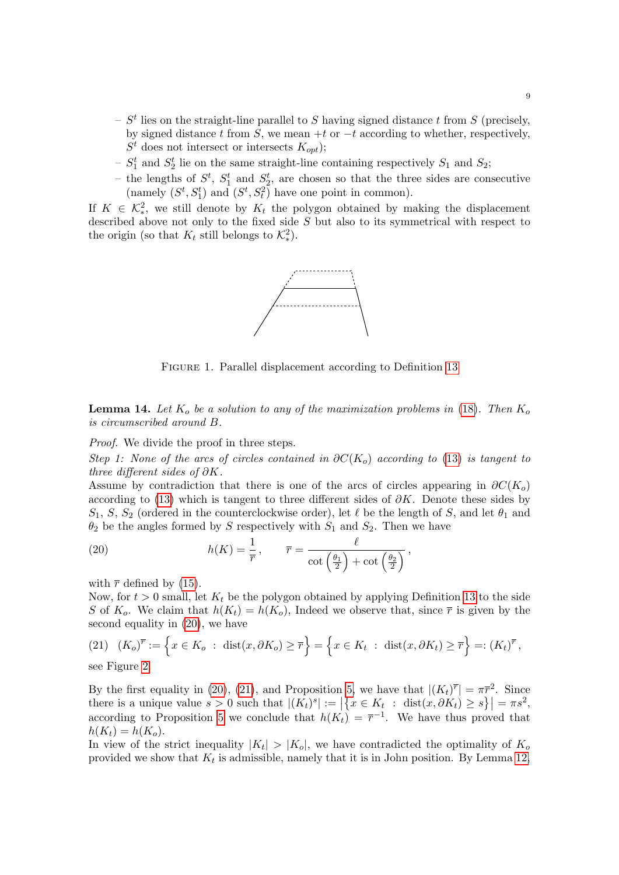- $S<sup>t</sup>$  lies on the straight-line parallel to S having signed distance t from S (precisely, by signed distance t from S, we mean +t or  $-t$  according to whether, respectively,  $S<sup>t</sup>$  does not intersect or intersects  $K_{opt}$ ;
- $S_1^t$  and  $S_2^t$  lie on the same straight-line containing respectively  $S_1$  and  $S_2$ ;
- the lengths of  $S^t$ ,  $S^t_1$  and  $S^t_2$ , are chosen so that the three sides are consecutive (namely  $(S^t, S_1^t)$  and  $(S^t, S_t^2)$  have one point in common).

If  $K \in \mathcal{K}_{*}^2$ , we still denote by  $K_t$  the polygon obtained by making the displacement described above not only to the fixed side  $S$  but also to its symmetrical with respect to the origin (so that  $K_t$  still belongs to  $\mathcal{K}^2_*$ ).



<span id="page-8-0"></span>FIGURE 1. Parallel displacement according to Definition [13](#page-7-3)

<span id="page-8-3"></span>**Lemma 14.** Let  $K_o$  be a solution to any of the maximization problems in [\(18\)](#page-7-2). Then  $K_o$ is circumscribed around B.

Proof. We divide the proof in three steps.

Step 1: None of the arcs of circles contained in  $\partial C(K_o)$  according to [\(13\)](#page-4-5) is tangent to three different sides of ∂K.

Assume by contradiction that there is one of the arcs of circles appearing in  $\partial C(K_o)$ according to [\(13\)](#page-4-5) which is tangent to three different sides of  $\partial K$ . Denote these sides by  $S_1, S, S_2$  (ordered in the counterclockwise order), let  $\ell$  be the length of S, and let  $\theta_1$  and  $\theta_2$  be the angles formed by S respectively with  $S_1$  and  $S_2$ . Then we have

<span id="page-8-1"></span>(20) 
$$
h(K) = \frac{1}{\overline{r}}, \qquad \overline{r} = \frac{\ell}{\cot\left(\frac{\theta_1}{2}\right) + \cot\left(\frac{\theta_2}{2}\right)},
$$

with  $\bar{r}$  defined by [\(15\)](#page-5-1).

Now, for  $t > 0$  small, let  $K_t$  be the polygon obtained by applying Definition [13](#page-7-3) to the side S of  $K_o$ . We claim that  $h(K_t) = h(K_o)$ , Indeed we observe that, since  $\bar{r}$  is given by the second equality in [\(20\)](#page-8-1), we have

<span id="page-8-2"></span>
$$
(21) \quad (K_o)^{\overline{r}} := \left\{ x \in K_o \; : \; \text{dist}(x, \partial K_o) \ge \overline{r} \right\} = \left\{ x \in K_t \; : \; \text{dist}(x, \partial K_t) \ge \overline{r} \right\} =: (K_t)^{\overline{r}},
$$

see Figure [2.](#page-9-0)

By the first equality in [\(20\)](#page-8-1), [\(21\)](#page-8-2), and Proposition [5,](#page-4-4) we have that  $|(K_t)^{\overline{r}}| = \pi \overline{r}^2$ . Since there is a unique value  $s > 0$  such that  $|(K_t)^s| := |\{x \in K_t : \text{dist}(x, \partial K_t) \geq s\}| = \pi s^2$ , according to Proposition [5](#page-4-4) we conclude that  $h(K_t) = \overline{r}^{-1}$ . We have thus proved that  $h(K_t) = h(K_o).$ 

In view of the strict inequality  $|K_t| > |K_o|$ , we have contradicted the optimality of  $K_o$ provided we show that  $K_t$  is admissible, namely that it is in John position. By Lemma [12,](#page-7-1)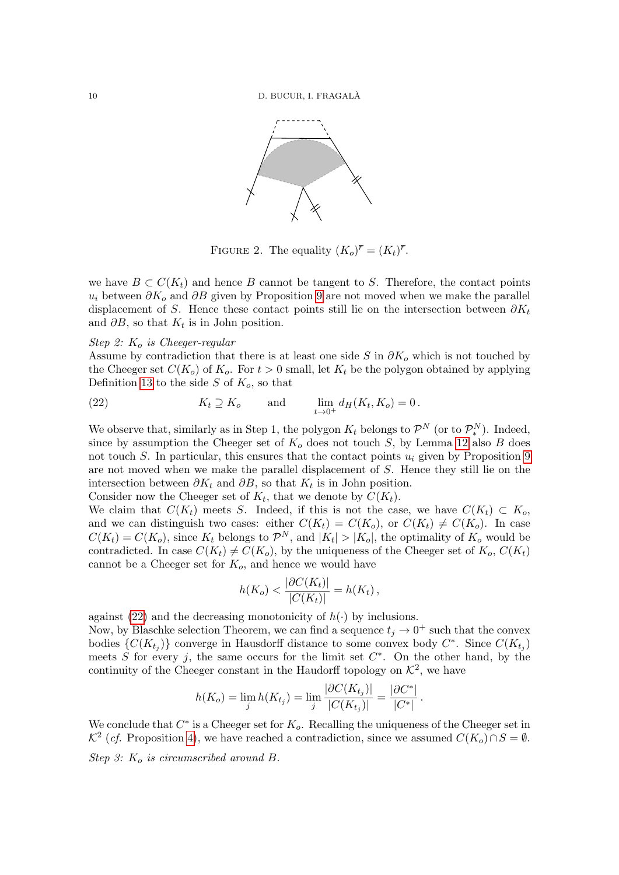

<span id="page-9-0"></span>FIGURE 2. The equality  $(K_o)^{\overline{r}} = (K_t)^{\overline{r}}$ .

we have  $B \subset C(K_t)$  and hence B cannot be tangent to S. Therefore, the contact points  $u_i$  between  $\partial K_o$  and  $\partial B$  given by Proposition [9](#page-6-2) are not moved when we make the parallel displacement of S. Hence these contact points still lie on the intersection between  $\partial K_t$ and  $\partial B$ , so that  $K_t$  is in John position.

### Step 2:  $K_o$  is Cheeger-regular

Assume by contradiction that there is at least one side S in  $\partial K_o$  which is not touched by the Cheeger set  $C(K_o)$  of  $K_o$ . For  $t > 0$  small, let  $K_t$  be the polygon obtained by applying Definition [13](#page-7-3) to the side S of  $K_o$ , so that

<span id="page-9-1"></span>(22) 
$$
K_t \supseteq K_o \quad \text{and} \quad \lim_{t \to 0^+} d_H(K_t, K_o) = 0.
$$

We observe that, similarly as in Step 1, the polygon  $K_t$  belongs to  $\mathcal{P}^N$  (or to  $\mathcal{P}^N_*$ ). Indeed, since by assumption the Cheeger set of  $K_o$  does not touch S, by Lemma [12](#page-7-1) also B does not touch S. In particular, this ensures that the contact points  $u_i$  given by Proposition [9](#page-6-2) are not moved when we make the parallel displacement of S. Hence they still lie on the intersection between  $\partial K_t$  and  $\partial B$ , so that  $K_t$  is in John position.

Consider now the Cheeger set of  $K_t$ , that we denote by  $C(K_t)$ .

We claim that  $C(K_t)$  meets S. Indeed, if this is not the case, we have  $C(K_t) \subset K_0$ , and we can distinguish two cases: either  $C(K_t) = C(K_o)$ , or  $C(K_t) \neq C(K_o)$ . In case  $C(K_t) = C(K_o)$ , since  $K_t$  belongs to  $\mathcal{P}^N$ , and  $|K_t| > |K_o|$ , the optimality of  $K_o$  would be contradicted. In case  $C(K_t) \neq C(K_o)$ , by the uniqueness of the Cheeger set of  $K_o$ ,  $C(K_t)$ cannot be a Cheeger set for  $K_0$ , and hence we would have

$$
h(K_o) < \frac{|\partial C(K_t)|}{|C(K_t)|} = h(K_t),
$$

against [\(22\)](#page-9-1) and the decreasing monotonicity of  $h(\cdot)$  by inclusions.

Now, by Blaschke selection Theorem, we can find a sequence  $t_j \to 0^+$  such that the convex bodies  $\{C(K_{t_j})\}$  converge in Hausdorff distance to some convex body  $C^*$ . Since  $C(K_{t_j})$ meets S for every j, the same occurs for the limit set  $C^*$ . On the other hand, by the continuity of the Cheeger constant in the Haudorff topology on  $\mathcal{K}^2$ , we have

$$
h(K_o) = \lim_{j} h(K_{t_j}) = \lim_{j} \frac{|\partial C(K_{t_j})|}{|C(K_{t_j})|} = \frac{|\partial C^*|}{|C^*|}.
$$

We conclude that  $C^*$  is a Cheeger set for  $K_o$ . Recalling the uniqueness of the Cheeger set in  $\mathcal{K}^2$  (*cf.* Proposition [4\)](#page-4-6), we have reached a contradiction, since we assumed  $C(K_o) \cap S = \emptyset$ . Step 3:  $K_o$  is circumscribed around B.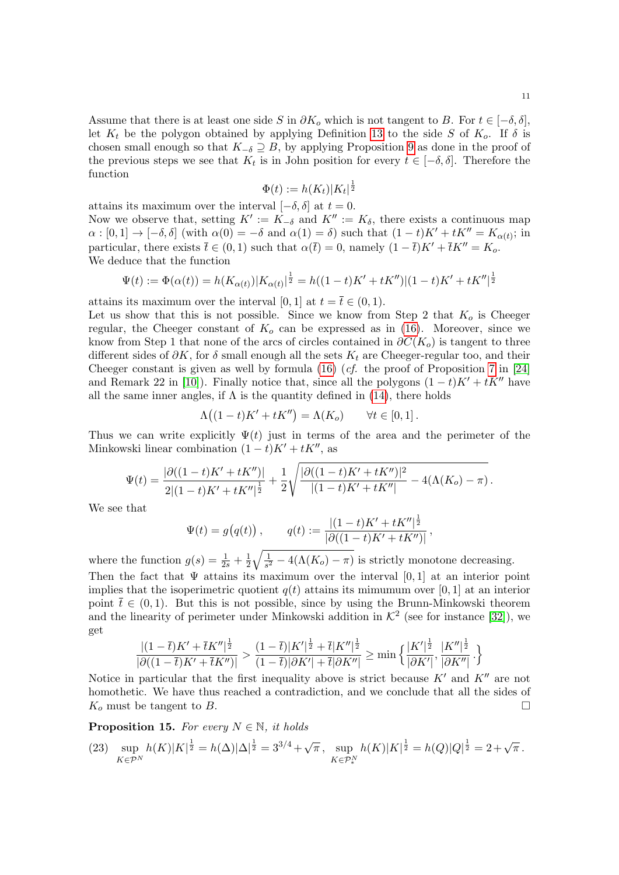Assume that there is at least one side S in  $\partial K_o$  which is not tangent to B. For  $t \in [-\delta, \delta],$ let  $K_t$  be the polygon obtained by applying Definition [13](#page-7-3) to the side S of  $K_o$ . If  $\delta$  is chosen small enough so that  $K_{-\delta} \supseteq B$ , by applying Proposition [9](#page-6-2) as done in the proof of the previous steps we see that  $K_t$  is in John position for every  $t \in [-\delta, \delta]$ . Therefore the function

$$
\Phi(t) := h(K_t)|K_t|^{\frac{1}{2}}
$$

attains its maximum over the interval  $[-\delta, \delta]$  at  $t = 0$ . Now we observe that, setting  $K' := K_{-\delta}$  and  $K'' := K_{\delta}$ , there exists a continuous map  $\alpha : [0,1] \to [-\delta, \delta]$  (with  $\alpha(0) = -\delta$  and  $\alpha(1) = \delta$ ) such that  $(1-t)K' + tK'' = K_{\alpha(t)}$ ; in particular, there exists  $\bar{t} \in (0,1)$  such that  $\alpha(\bar{t}) = 0$ , namely  $(1 - \bar{t})K' + \bar{t}K'' = K_0$ . We deduce that the function

$$
\Psi(t) := \Phi(\alpha(t)) = h(K_{\alpha(t)})|K_{\alpha(t)}|^{\frac{1}{2}} = h((1-t)K' + tK'')|(1-t)K' + tK''|^{\frac{1}{2}}
$$

attains its maximum over the interval [0, 1] at  $t = \overline{t} \in (0, 1)$ .

Let us show that this is not possible. Since we know from Step 2 that  $K_o$  is Cheeger regular, the Cheeger constant of  $K<sub>o</sub>$  can be expressed as in [\(16\)](#page-5-2). Moreover, since we know from Step 1 that none of the arcs of circles contained in  $\partial C(K_o)$  is tangent to three different sides of  $\partial K$ , for  $\delta$  small enough all the sets  $K_t$  are Cheeger-regular too, and their Cheeger constant is given as well by formula  $(16)$  (*cf.* the proof of Proposition [7](#page-5-0) in [\[24\]](#page-21-18) and Remark 22 in [\[10\]](#page-21-12)). Finally notice that, since all the polygons  $(1-t)K' + tK''$  have all the same inner angles, if  $\Lambda$  is the quantity defined in [\(14\)](#page-5-3), there holds

$$
\Lambda\big((1-t)K' + tK''\big) = \Lambda(K_o) \qquad \forall t \in [0,1].
$$

Thus we can write explicitly  $\Psi(t)$  just in terms of the area and the perimeter of the Minkowski linear combination  $(1-t)K' + tK''$ , as

$$
\Psi(t) = \frac{|\partial((1-t)K' + tK'')|}{2|(1-t)K' + tK''|^{\frac{1}{2}}} + \frac{1}{2}\sqrt{\frac{|\partial((1-t)K' + tK'')|^2}{|(1-t)K' + tK''|}} - 4(\Lambda(K_o) - \pi).
$$

We see that

$$
\Psi(t) = g(q(t)), \qquad q(t) := \frac{|(1-t)K' + tK''|^{\frac{1}{2}}}{|\partial((1-t)K' + tK'')|}
$$

,

where the function  $g(s) = \frac{1}{2s} + \frac{1}{2s}$  $\frac{1}{2}\sqrt{\frac{1}{s^2}}$  $\frac{1}{s^2} - 4(\Lambda(K_o) - \pi)$  is strictly monotone decreasing. Then the fact that  $\Psi$  attains its maximum over the interval [0, 1] at an interior point implies that the isoperimetric quotient  $q(t)$  attains its mimumum over [0, 1] at an interior point  $\bar{t} \in (0, 1)$ . But this is not possible, since by using the Brunn-Minkowski theorem and the linearity of perimeter under Minkowski addition in  $K^2$  (see for instance [\[32\]](#page-22-1)), we get

$$
\frac{|(1-\overline{t})K' + \overline{t}K''|^{\frac{1}{2}}}{|\partial((1-\overline{t})K' + \overline{t}K'')|} > \frac{(1-\overline{t})|K'|^{\frac{1}{2}} + \overline{t}|K''|^{\frac{1}{2}}}{(1-\overline{t})|\partial K'| + \overline{t}|\partial K''|} \ge \min\left\{\frac{|K'|^{\frac{1}{2}}}{|\partial K'|}, \frac{|K''|^{\frac{1}{2}}}{|\partial K''|}.\right\}
$$

Notice in particular that the first inequality above is strict because  $K'$  and  $K''$  are not homothetic. We have thus reached a contradiction, and we conclude that all the sides of  $K_o$  must be tangent to B.

<span id="page-10-0"></span>**Proposition 15.** For every  $N \in \mathbb{N}$ , it holds

<span id="page-10-1"></span>
$$
(23) \ \ \sup_{K \in \mathcal{P}^N} h(K)|K|^{\frac{1}{2}} = h(\Delta)|\Delta|^{\frac{1}{2}} = 3^{3/4} + \sqrt{\pi} \,, \ \sup_{K \in \mathcal{P}^N_*} h(K)|K|^{\frac{1}{2}} = h(Q)|Q|^{\frac{1}{2}} = 2 + \sqrt{\pi} \,.
$$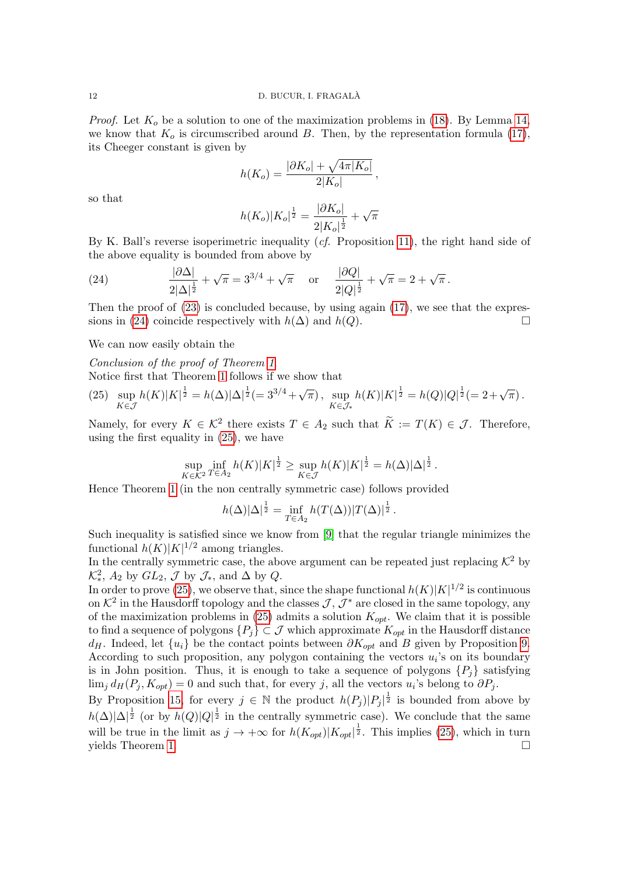*Proof.* Let  $K_o$  be a solution to one of the maximization problems in [\(18\)](#page-7-2). By Lemma [14,](#page-8-3) we know that  $K_0$  is circumscribed around B. Then, by the representation formula [\(17\)](#page-5-4), its Cheeger constant is given by

$$
h(K_o) = \frac{|\partial K_o| + \sqrt{4\pi|K_o|}}{2|K_o|},
$$

so that

$$
h(K_o)|K_o|^{\frac{1}{2}} = \frac{|\partial K_o|}{2|K_o|^{\frac{1}{2}}} + \sqrt{\pi}
$$

By K. Ball's reverse isoperimetric inequality (cf. Proposition [11\)](#page-6-3), the right hand side of the above equality is bounded from above by

<span id="page-11-0"></span>(24) 
$$
\frac{|\partial \Delta|}{2|\Delta|^{\frac{1}{2}}} + \sqrt{\pi} = 3^{3/4} + \sqrt{\pi} \quad \text{or} \quad \frac{|\partial Q|}{2|Q|^{\frac{1}{2}}} + \sqrt{\pi} = 2 + \sqrt{\pi}.
$$

Then the proof of  $(23)$  is concluded because, by using again  $(17)$ , we see that the expres-sions in [\(24\)](#page-11-0) coincide respectively with  $h(\Delta)$  and  $h(Q)$ .

We can now easily obtain the

Conclusion of the proof of Theorem [1](#page-2-2).

Notice first that Theorem [1](#page-2-2) follows if we show that

<span id="page-11-1"></span>
$$
(25)\ \ \sup_{K\in\mathcal{J}}h(K)|K|^{\frac{1}{2}}=h(\Delta)|\Delta|^{\frac{1}{2}}(=3^{3/4}+\sqrt{\pi})\,,\ \sup_{K\in\mathcal{J}_{*}}h(K)|K|^{\frac{1}{2}}=h(Q)|Q|^{\frac{1}{2}}(=2+\sqrt{\pi})\,.
$$

Namely, for every  $K \in \mathcal{K}^2$  there exists  $T \in A_2$  such that  $\widetilde{K} := T(K) \in \mathcal{J}$ . Therefore, using the first equality in [\(25\)](#page-11-1), we have

$$
\sup_{K \in \mathcal{K}^2} \inf_{T \in A_2} h(K) |K|^{\frac{1}{2}} \ge \sup_{K \in \mathcal{J}} h(K) |K|^{\frac{1}{2}} = h(\Delta) |\Delta|^{\frac{1}{2}}.
$$

Hence Theorem [1](#page-2-2) (in the non centrally symmetric case) follows provided

$$
h(\Delta)|\Delta|^{\frac{1}{2}} = \inf_{T \in A_2} h(T(\Delta))|T(\Delta)|^{\frac{1}{2}}.
$$

Such inequality is satisfied since we know from [\[9\]](#page-21-7) that the regular triangle minimizes the functional  $h(K)|K|^{1/2}$  among triangles.

In the centrally symmetric case, the above argument can be repeated just replacing  $K^2$  by  $\mathcal{K}_{*}^2$ ,  $A_2$  by  $GL_2$ ,  $\mathcal J$  by  $\mathcal J_{*}$ , and  $\Delta$  by  $Q$ .

In order to prove [\(25\)](#page-11-1), we observe that, since the shape functional  $h(K)|K|^{1/2}$  is continuous on  $\mathcal{K}^2$  in the Hausdorff topology and the classes  $\mathcal{J}, \mathcal{J}^*$  are closed in the same topology, any of the maximization problems in [\(25\)](#page-11-1) admits a solution  $K_{opt}$ . We claim that it is possible to find a sequence of polygons  $\{P_j\} \subset \mathcal{J}$  which approximate  $K_{opt}$  in the Hausdorff distance  $d_H$ . Indeed, let  $\{u_i\}$  be the contact points between  $\partial K_{opt}$  and B given by Proposition [9.](#page-6-2) According to such proposition, any polygon containing the vectors  $u_i$ 's on its boundary is in John position. Thus, it is enough to take a sequence of polygons  $\{P_i\}$  satisfying  $\lim_j d_H(P_j, K_{opt}) = 0$  and such that, for every j, all the vectors  $u_i$ 's belong to  $\partial P_j$ .

By Proposition [15,](#page-10-0) for every  $j \in \mathbb{N}$  the product  $h(P_j)|P_j|^{\frac{1}{2}}$  is bounded from above by  $h(\Delta)|\Delta|^{\frac{1}{2}}$  (or by  $h(Q)|Q|^{\frac{1}{2}}$  in the centrally symmetric case). We conclude that the same will be true in the limit as  $j \to +\infty$  for  $h(K_{opt})|K_{opt}|^{\frac{1}{2}}$ . This implies [\(25\)](#page-11-1), which in turn yields Theorem [1.](#page-2-2)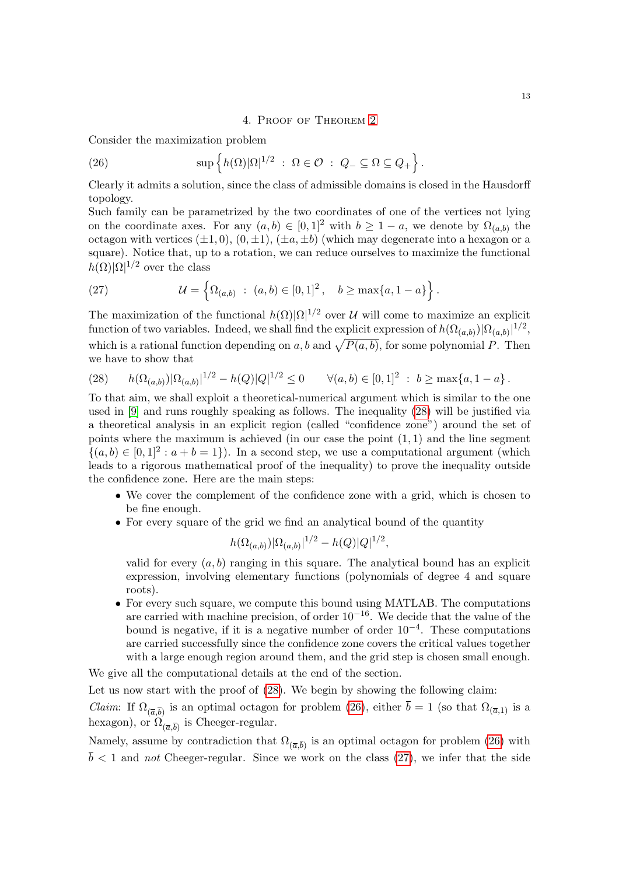## <span id="page-12-2"></span>4. Proof of Theorem [2](#page-2-4)

<span id="page-12-0"></span>Consider the maximization problem

(26) 
$$
\sup \left\{ h(\Omega) |\Omega|^{1/2} \; : \; \Omega \in \mathcal{O} \; : \; Q_- \subseteq \Omega \subseteq Q_+ \right\}.
$$

Clearly it admits a solution, since the class of admissible domains is closed in the Hausdorff topology.

Such family can be parametrized by the two coordinates of one of the vertices not lying on the coordinate axes. For any  $(a, b) \in [0, 1]^2$  with  $b \geq 1 - a$ , we denote by  $\Omega_{(a, b)}$  the octagon with vertices  $(\pm 1, 0), (0, \pm 1), (\pm a, \pm b)$  (which may degenerate into a hexagon or a square). Notice that, up to a rotation, we can reduce ourselves to maximize the functional  $h(\Omega)|\Omega|^{1/2}$  over the class

<span id="page-12-3"></span>(27) 
$$
\mathcal{U} = \left\{ \Omega_{(a,b)} : (a,b) \in [0,1]^2, \quad b \ge \max\{a, 1-a\} \right\}.
$$

The maximization of the functional  $h(\Omega)|\Omega|^{1/2}$  over U will come to maximize an explicit function of two variables. Indeed, we shall find the explicit expression of  $h(\Omega_{(a,b)}) |\Omega_{(a,b)}|^{1/2}$ , which is a rational function depending on a, b and  $\sqrt{P(a, b)}$ , for some polynomial P. Then we have to show that

<span id="page-12-1"></span>(28) 
$$
h(\Omega_{(a,b)})|\Omega_{(a,b)}|^{1/2} - h(Q)|Q|^{1/2} \leq 0 \quad \forall (a,b) \in [0,1]^2 \; : \; b \geq \max\{a,1-a\} \, .
$$

To that aim, we shall exploit a theoretical-numerical argument which is similar to the one used in [\[9\]](#page-21-7) and runs roughly speaking as follows. The inequality [\(28\)](#page-12-1) will be justified via a theoretical analysis in an explicit region (called "confidence zone") around the set of points where the maximum is achieved (in our case the point  $(1, 1)$  and the line segment  $\{(a, b) \in [0, 1]^2 : a + b = 1\}$ . In a second step, we use a computational argument (which leads to a rigorous mathematical proof of the inequality) to prove the inequality outside the confidence zone. Here are the main steps:

- We cover the complement of the confidence zone with a grid, which is chosen to be fine enough.
- For every square of the grid we find an analytical bound of the quantity

$$
h(\Omega_{(a,b)})|\Omega_{(a,b)}|^{1/2} - h(Q)|Q|^{1/2},
$$

valid for every  $(a, b)$  ranging in this square. The analytical bound has an explicit expression, involving elementary functions (polynomials of degree 4 and square roots).

• For every such square, we compute this bound using MATLAB. The computations are carried with machine precision, of order  $10^{-16}$ . We decide that the value of the bound is negative, if it is a negative number of order  $10^{-4}$ . These computations are carried successfully since the confidence zone covers the critical values together with a large enough region around them, and the grid step is chosen small enough.

We give all the computational details at the end of the section.

Let us now start with the proof of  $(28)$ . We begin by showing the following claim:

*Claim*: If  $\Omega_{(\bar{a},\bar{b})}$  is an optimal octagon for problem [\(26\)](#page-12-2), either  $b=1$  (so that  $\Omega_{(\bar{a},1)}$  is a hexagon), or  $\Omega_{(\overline{a},\overline{b})}$  is Cheeger-regular.

Namely, assume by contradiction that  $\Omega_{(\overline{a},\overline{b})}$  is an optimal octagon for problem [\(26\)](#page-12-2) with  $\overline{b}$  < 1 and not Cheeger-regular. Since we work on the class [\(27\)](#page-12-3), we infer that the side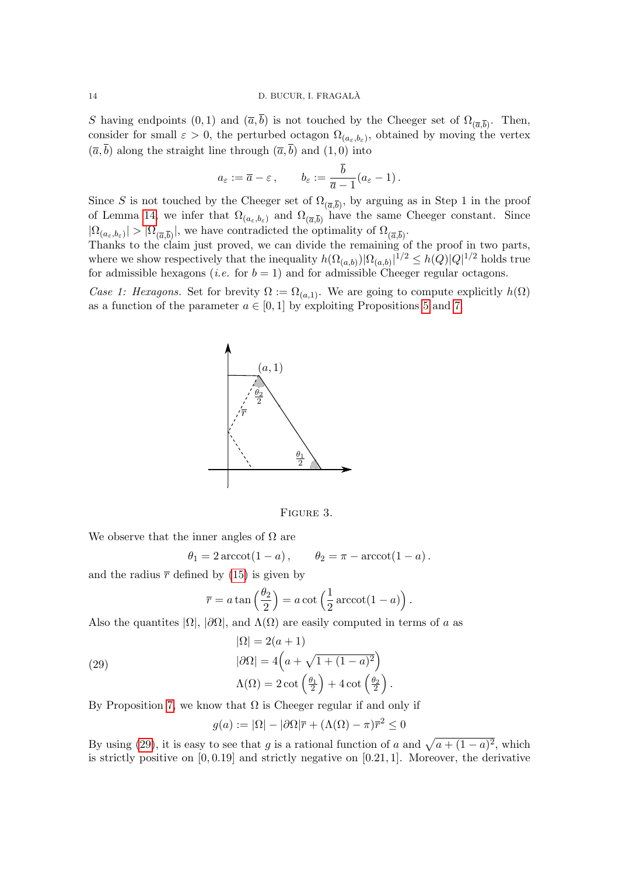S having endpoints  $(0, 1)$  and  $(\bar{a}, b)$  is not touched by the Cheeger set of  $\Omega_{(\bar{a}, \bar{b})}$ . Then, consider for small  $\varepsilon > 0$ , the perturbed octagon  $\Omega_{(a_{\varepsilon},b_{\varepsilon})}$ , obtained by moving the vertex  $(\overline{a}, \overline{b})$  along the straight line through  $(\overline{a}, \overline{b})$  and  $(1, 0)$  into

$$
a_{\varepsilon} := \overline{a} - \varepsilon
$$
,  $b_{\varepsilon} := \frac{\overline{b}}{\overline{a} - 1} (a_{\varepsilon} - 1)$ .

Since S is not touched by the Cheeger set of  $\Omega_{(\overline{a},\overline{b})}$ , by arguing as in Step 1 in the proof of Lemma [14,](#page-8-3) we infer that  $\Omega_{(a_\varepsilon,b_\varepsilon)}$  and  $\Omega_{(\overline{a},\overline{b})}$  have the same Cheeger constant. Since  $|\Omega_{(a_{\varepsilon},b_{\varepsilon})}|>|\Omega_{(\overline{a},\overline{b})}|$ , we have contradicted the optimality of  $\Omega_{(\overline{a},\overline{b})}$ .

Thanks to the claim just proved, we can divide the remaining of the proof in two parts, where we show respectively that the inequality  $h(\Omega_{(a,b)}) |\Omega_{(a,b)}|^{1/2} \leq h(Q) |Q|^{1/2}$  holds true for admissible hexagons (*i.e.* for  $b = 1$ ) and for admissible Cheeger regular octagons.

Case 1: Hexagons. Set for brevity  $\Omega := \Omega_{(a,1)}$ . We are going to compute explicitly  $h(\Omega)$ as a function of the parameter  $a \in [0, 1]$  by exploiting Propositions [5](#page-4-4) and [7.](#page-5-0)



Figure 3.

We observe that the inner angles of  $\Omega$  are

 $\theta_1 = 2 \arccot(1 - a), \qquad \theta_2 = \pi - \arccot(1 - a).$ 

and the radius  $\bar{r}$  defined by [\(15\)](#page-5-1) is given by

$$
\overline{r} = a \tan\left(\frac{\theta_2}{2}\right) = a \cot\left(\frac{1}{2}\operatorname{arccot}(1-a)\right).
$$

Also the quantites  $|\Omega|$ ,  $|\partial\Omega|$ , and  $\Lambda(\Omega)$  are easily computed in terms of a as

(29)  
\n
$$
|\Omega| = 2(a+1)
$$
\n
$$
|\partial\Omega| = 4\left(a + \sqrt{1 + (1-a)^2}\right)
$$
\n
$$
\Lambda(\Omega) = 2 \cot\left(\frac{\theta_1}{2}\right) + 4 \cot\left(\frac{\theta_2}{2}\right).
$$

By Proposition [7,](#page-5-0) we know that  $\Omega$  is Cheeger regular if and only if

<span id="page-13-0"></span>
$$
g(a) := |\Omega| - |\partial\Omega|\overline{r} + (\Lambda(\Omega) - \pi)\overline{r}^2 \le 0
$$

By using [\(29\)](#page-13-0), it is easy to see that g is a rational function of a and  $\sqrt{a + (1 - a)^2}$ , which is strictly positive on  $[0, 0.19]$  and strictly negative on  $[0.21, 1]$ . Moreover, the derivative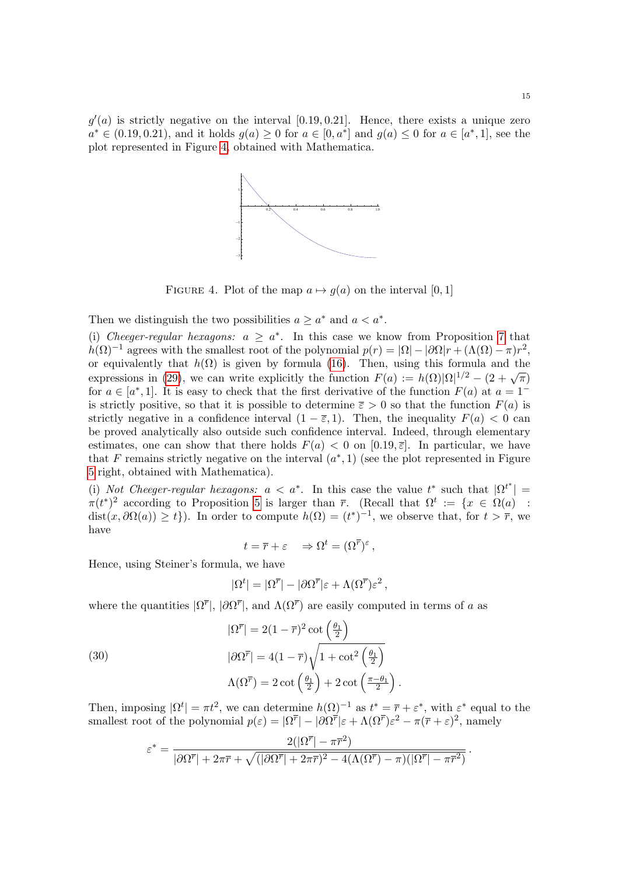$g'(a)$  is strictly negative on the interval [0.19, 0.21]. Hence, there exists a unique zero  $a^* \in (0.19, 0.21)$ , and it holds  $g(a) \ge 0$  for  $a \in [0, a^*]$  and  $g(a) \le 0$  for  $a \in [a^*, 1]$ , see the plot represented in Figure [4,](#page-14-0) obtained with Mathematica.



<span id="page-14-0"></span>FIGURE 4. Plot of the map  $a \mapsto g(a)$  on the interval [0, 1]

Then we distinguish the two possibilities  $a \geq a^*$  and  $a < a^*$ .

(i) Cheeger-regular hexagons:  $a \ge a^*$ . In this case we know from Proposition [7](#page-5-0) that  $h(\Omega)^{-1}$  agrees with the smallest root of the polynomial  $p(r) = |\Omega| - |\partial \Omega|r + (\Lambda(\Omega) - \pi)r^2$ , or equivalently that  $h(\Omega)$  is given by formula [\(16\)](#page-5-2). Then, using this formula and the expressions in [\(29\)](#page-13-0), we can write explicitly the function  $F(a) := h(\Omega)|\Omega|^{1/2} - (2 + \sqrt{\pi})$ for  $a \in [a^*, 1]$ . It is easy to check that the first derivative of the function  $F(a)$  at  $a = 1^$ is strictly positive, so that it is possible to determine  $\bar{\varepsilon} > 0$  so that the function  $F(a)$  is strictly negative in a confidence interval  $(1 - \overline{\varepsilon}, 1)$ . Then, the inequality  $F(a) < 0$  can be proved analytically also outside such confidence interval. Indeed, through elementary estimates, one can show that there holds  $F(a) < 0$  on  $[0.19, \bar{\varepsilon}]$ . In particular, we have that F remains strictly negative on the interval  $(a^*, 1)$  (see the plot represented in Figure [5](#page-15-0) right, obtained with Mathematica).

(i) Not Cheeger-regular hexagons:  $a < a^*$ . In this case the value  $t^*$  such that  $|\Omega^{t^*}| =$  $\pi(t^*)^2$  according to Proposition [5](#page-4-4) is larger than  $\bar{r}$ . (Recall that  $\Omega^t := \{x \in \Omega(a) :$  $dist(x, \partial \Omega(a)) \geq t$ ). In order to compute  $h(\Omega) = (t^*)^{-1}$ , we observe that, for  $t > \overline{r}$ , we have

$$
t = \overline{r} + \varepsilon \quad \Rightarrow \Omega^t = (\Omega^{\overline{r}})^{\varepsilon},
$$

Hence, using Steiner's formula, we have

$$
|\Omega^t| = |\Omega^{\overline{r}}| - |\partial \Omega^{\overline{r}}| \varepsilon + \Lambda (\Omega^{\overline{r}}) \varepsilon^2 ,
$$

where the quantities  $|\Omega^{\overline{r}}|, |\partial \Omega^{\overline{r}}|$ , and  $\Lambda(\Omega^{\overline{r}})$  are easily computed in terms of a as

(30)  
\n
$$
|\Omega^{\overline{r}}| = 2(1-\overline{r})^2 \cot\left(\frac{\theta_1}{2}\right)
$$
\n
$$
|\partial \Omega^{\overline{r}}| = 4(1-\overline{r})\sqrt{1 + \cot^2\left(\frac{\theta_1}{2}\right)}
$$
\n
$$
\Lambda(\Omega^{\overline{r}}) = 2 \cot\left(\frac{\theta_1}{2}\right) + 2 \cot\left(\frac{\pi - \theta_1}{2}\right).
$$

Then, imposing  $|\Omega^t| = \pi t^2$ , we can determine  $h(\Omega)^{-1}$  as  $t^* = \overline{r} + \varepsilon^*$ , with  $\varepsilon^*$  equal to the smallest root of the polynomial  $p(\varepsilon) = |\Omega^{\overline{r}}| - |\partial \Omega^{\overline{r}}| \varepsilon + \Lambda(\Omega^{\overline{r}}) \varepsilon^2 - \pi(\overline{r} + \varepsilon)^2$ , namely

$$
\varepsilon^* = \frac{2(|\Omega^{\overline{r}}| - \pi^{\overline{r}2})}{|\partial \Omega^{\overline{r}}| + 2\pi \overline{r} + \sqrt{(|\partial \Omega^{\overline{r}}| + 2\pi \overline{r})^2 - 4(\Lambda(\Omega^{\overline{r}}) - \pi)(|\Omega^{\overline{r}}| - \pi^{\overline{r}2})}}.
$$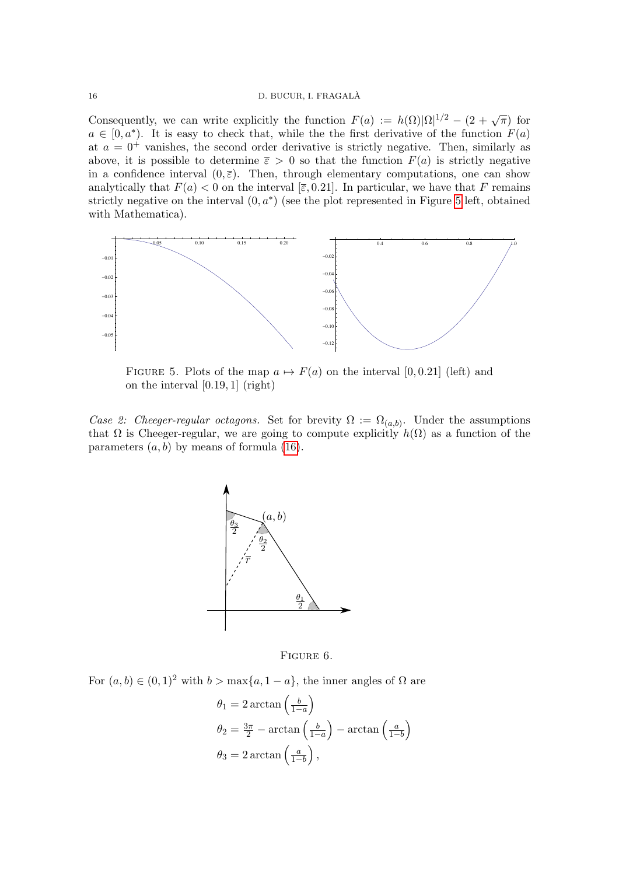### 16 D. BUCUR, I. FRAGALÀ

Consequently, we can write explicitly the function  $F(a) := h(\Omega) |\Omega|^{1/2} - (2 + \sqrt{\pi})$  for  $a \in [0, a^*).$  It is easy to check that, while the first derivative of the function  $F(a)$ at  $a = 0^+$  vanishes, the second order derivative is strictly negative. Then, similarly as above, it is possible to determine  $\bar{\varepsilon} > 0$  so that the function  $F(a)$  is strictly negative in a confidence interval  $(0, \overline{\varepsilon})$ . Then, through elementary computations, one can show analytically that  $F(a) < 0$  on the interval  $[\bar{\varepsilon}, 0.21]$ . In particular, we have that F remains strictly negative on the interval  $(0, a^*)$  (see the plot represented in Figure [5](#page-15-0) left, obtained with Mathematica).



<span id="page-15-0"></span>FIGURE 5. Plots of the map  $a \mapsto F(a)$  on the interval [0,0.21] (left) and on the interval  $[0.19, 1]$  (right)

parameters  $(a, b)$  by means of formula [\(16\)](#page-5-2). Case 2: Cheeger-regular octagons. Set for brevity  $\Omega := \Omega_{(a,b)}$ . Under the assumptions that  $\Omega$  is Cheeger-regular, we are going to compute explicitly  $h(\Omega)$  as a function of the



FIGURE 6.  $16.$ 

For  $(a, b) \in (0, 1)^2$  with  $b > \max\{a, 1 - a\}$ , the inner angles of Ω are

$$
\theta_1 = 2 \arctan\left(\frac{b}{1-a}\right)
$$
  
\n
$$
\theta_2 = \frac{3\pi}{2} - \arctan\left(\frac{b}{1-a}\right) - \arctan\left(\frac{a}{1-b}\right)
$$
  
\n
$$
\theta_3 = 2 \arctan\left(\frac{a}{1-b}\right),
$$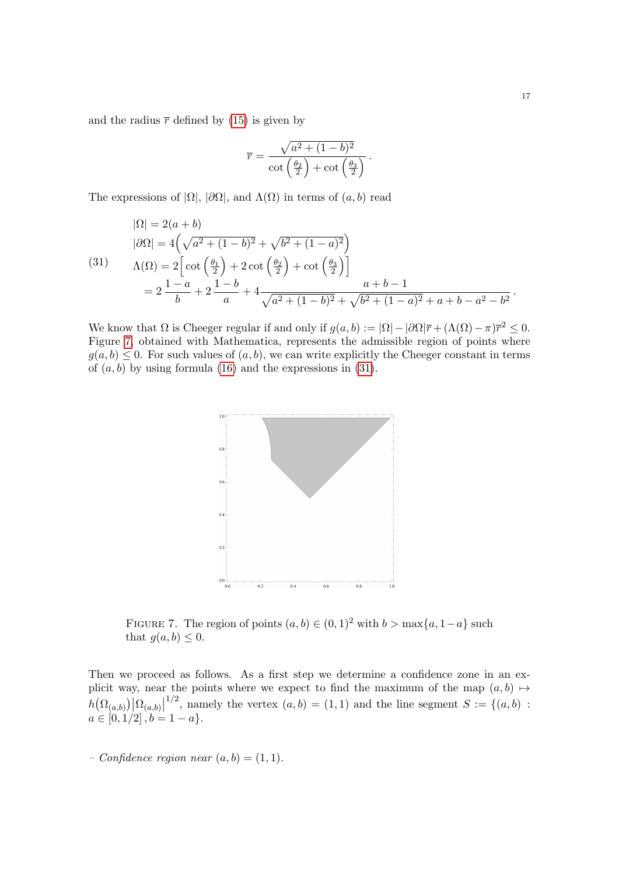and the radius  $\bar{r}$  defined by [\(15\)](#page-5-1) is given by

$$
\overline{r} = \frac{\sqrt{a^2 + (1 - b)^2}}{\cot\left(\frac{\theta_2}{2}\right) + \cot\left(\frac{\theta_3}{2}\right)}.
$$

The expressions of  $|\Omega|$ ,  $|\partial\Omega|$ , and  $\Lambda(\Omega)$  in terms of  $(a, b)$  read

<span id="page-16-1"></span>
$$
|\Omega| = 2(a+b)
$$
  
\n
$$
|\partial\Omega| = 4\left(\sqrt{a^2 + (1-b)^2} + \sqrt{b^2 + (1-a)^2}\right)
$$
  
\n(31)  
\n
$$
\Lambda(\Omega) = 2\left[\cot\left(\frac{\theta_1}{2}\right) + 2\cot\left(\frac{\theta_2}{2}\right) + \cot\left(\frac{\theta_3}{2}\right)\right]
$$
  
\n
$$
= 2\frac{1-a}{b} + 2\frac{1-b}{a} + 4\frac{a+b-1}{\sqrt{a^2 + (1-b)^2} + \sqrt{b^2 + (1-a)^2} + a+b-a^2-b^2}.
$$

We know that  $\Omega$  is Cheeger regular if and only if  $g(a, b) := |\Omega| - |\partial \Omega|\overline{r} + (\Lambda(\Omega) - \pi)\overline{r}^2 \leq 0$ . Figure [7,](#page-16-0) obtained with Mathematica, represents the admissible region of points where  $g(a, b) \leq 0$ . For such values of  $(a, b)$ , we can write explicitly the Cheeger constant in terms of  $(a, b)$  by using formula [\(16\)](#page-5-2) and the expressions in [\(31\)](#page-16-1).



<span id="page-16-0"></span>FIGURE 7. The region of points  $(a, b) \in (0, 1)^2$  with  $b > \max\{a, 1-a\}$  such that  $g(a, b) \leq 0$ .

Then we proceed as follows. As a first step we determine a confidence zone in an explicit way, near the points where we expect to find the maximum of the map  $(a, b) \mapsto$  $h\big(\Omega_{(a,b)}\big)\big|\Omega_{(a,b)}\big|$ <sup>1/2</sup>, namely the vertex  $(a, b) = (1, 1)$  and the line segment  $S := \{(a, b) :$  $a \in [0, 1/2], b = 1 - a$ .

– Confidence region near  $(a, b) = (1, 1)$ .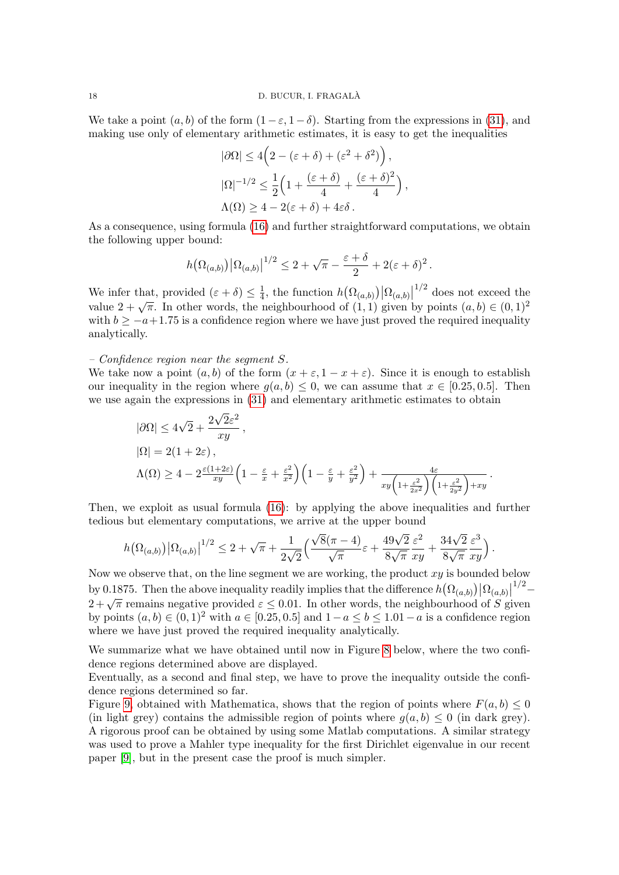We take a point  $(a, b)$  of the form  $(1 - \varepsilon, 1 - \delta)$ . Starting from the expressions in [\(31\)](#page-16-1), and making use only of elementary arithmetic estimates, it is easy to get the inequalities

$$
|\partial\Omega| \le 4\left(2 - (\varepsilon + \delta) + (\varepsilon^2 + \delta^2)\right),
$$
  

$$
|\Omega|^{-1/2} \le \frac{1}{2}\left(1 + \frac{(\varepsilon + \delta)}{4} + \frac{(\varepsilon + \delta)^2}{4}\right),
$$
  

$$
\Lambda(\Omega) \ge 4 - 2(\varepsilon + \delta) + 4\varepsilon\delta.
$$

As a consequence, using formula [\(16\)](#page-5-2) and further straightforward computations, we obtain the following upper bound:

$$
h(\Omega_{(a,b)}) |\Omega_{(a,b)}|^{1/2} \leq 2 + \sqrt{\pi} - \frac{\varepsilon + \delta}{2} + 2(\varepsilon + \delta)^2.
$$

We infer that, provided  $(\varepsilon + \delta) \leq \frac{1}{4}$  $\frac{1}{4}$ , the function  $h(\Omega_{(a,b)})|\Omega_{(a,b)}|$  $1/2$  does not exceed the value  $2 + \sqrt{\pi}$ . In other words, the neighbourhood of  $(1,1)$  given by points  $(a, b) \in (0, 1)^2$ with  $b \ge -a+1.75$  is a confidence region where we have just proved the required inequality analytically.

### – Confidence region near the segment S.

We take now a point  $(a, b)$  of the form  $(x + \varepsilon, 1 - x + \varepsilon)$ . Since it is enough to establish our inequality in the region where  $g(a, b) \leq 0$ , we can assume that  $x \in [0.25, 0.5]$ . Then we use again the expressions in [\(31\)](#page-16-1) and elementary arithmetic estimates to obtain

$$
|\partial\Omega| \le 4\sqrt{2} + \frac{2\sqrt{2}\varepsilon^2}{xy},
$$
  
\n
$$
|\Omega| = 2(1+2\varepsilon),
$$
  
\n
$$
\Lambda(\Omega) \ge 4 - 2\frac{\varepsilon(1+2\varepsilon)}{xy} \left(1 - \frac{\varepsilon}{x} + \frac{\varepsilon^2}{x^2}\right) \left(1 - \frac{\varepsilon}{y} + \frac{\varepsilon^2}{y^2}\right) + \frac{4\varepsilon}{xy \left(1 + \frac{\varepsilon^2}{2x^2}\right) \left(1 + \frac{\varepsilon^2}{2y^2}\right) + xy}.
$$

Then, we exploit as usual formula [\(16\)](#page-5-2): by applying the above inequalities and further tedious but elementary computations, we arrive at the upper bound

$$
h(\Omega_{(a,b)}) |\Omega_{(a,b)}|^{1/2} \leq 2 + \sqrt{\pi} + \frac{1}{2\sqrt{2}} \Big( \frac{\sqrt{8}(\pi - 4)}{\sqrt{\pi}} \varepsilon + \frac{49\sqrt{2}}{8\sqrt{\pi}} \frac{\varepsilon^2}{xy} + \frac{34\sqrt{2}}{8\sqrt{\pi}} \frac{\varepsilon^3}{xy} \Big).
$$

Now we observe that, on the line segment we are working, the product  $xy$  is bounded below by 0.1875. Then the above inequality readily implies that the difference  $h(\Omega_{(a,b)}) |\Omega_{(a,b)}|^{1/2}$ by 0.1610. Then the above mequality readily implies that the difference  $h(x^2(a,b))|^{3/2}(a,b)|^2$ <br> $2+\sqrt{\pi}$  remains negative provided  $\varepsilon \leq 0.01$ . In other words, the neighbourhood of S given by points  $(a, b) \in (0, 1)^2$  with  $a \in [0.25, 0.5]$  and  $1 - a \le b \le 1.01 - a$  is a confidence region where we have just proved the required inequality analytically.

We summarize what we have obtained until now in Figure [8](#page-18-0) below, where the two confidence regions determined above are displayed.

Eventually, as a second and final step, we have to prove the inequality outside the confidence regions determined so far.

Figure [9,](#page-18-1) obtained with Mathematica, shows that the region of points where  $F(a, b) \leq 0$ (in light grey) contains the admissible region of points where  $g(a, b) \leq 0$  (in dark grey). A rigorous proof can be obtained by using some Matlab computations. A similar strategy was used to prove a Mahler type inequality for the first Dirichlet eigenvalue in our recent paper [\[9\]](#page-21-7), but in the present case the proof is much simpler.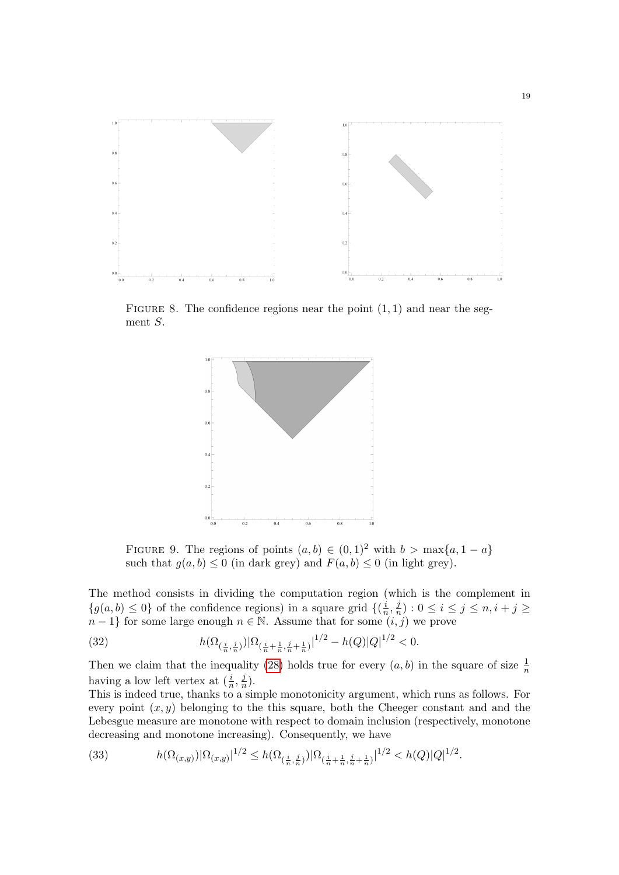

FIGURE 8. The confidence regions near the point  $(1, 1)$  and near the segment S.

<span id="page-18-0"></span>

<span id="page-18-1"></span>FIGURE 9. The regions of points  $(a, b) \in (0, 1)^2$  with  $b > \max\{a, 1 - a\}$ such that  $g(a, b) \leq 0$  (in dark grey) and  $F(a, b) \leq 0$  (in light grey).

The method consists in dividing the computation region (which is the complement in  ${g(a, b) \leq 0}$  of the confidence regions) in a square grid  $\{(\frac{i}{x})^n\}$  $\frac{i}{n}, \frac{j}{n}$  $\frac{j}{n}$ ) :  $0 \leq i \leq j \leq n, i + j \geq j$  $n-1$ } for some large enough  $n \in \mathbb{N}$ . Assume that for some  $(i,j)$  we prove

<span id="page-18-2"></span>(32) 
$$
h(\Omega_{(\frac{i}{n}, \frac{j}{n})})|\Omega_{(\frac{i}{n} + \frac{1}{n}, \frac{j}{n} + \frac{1}{n})}|^{1/2} - h(Q)|Q|^{1/2} < 0.
$$

Then we claim that the inequality [\(28\)](#page-12-1) holds true for every  $(a, b)$  in the square of size  $\frac{1}{n}$ having a low left vertex at  $(\frac{i}{n}, \frac{j}{n})$  $\frac{j}{n}$ .

This is indeed true, thanks to a simple monotonicity argument, which runs as follows. For every point  $(x, y)$  belonging to the this square, both the Cheeger constant and and the Lebesgue measure are monotone with respect to domain inclusion (respectively, monotone decreasing and monotone increasing). Consequently, we have

(33) 
$$
h(\Omega_{(x,y)})|\Omega_{(x,y)}|^{1/2} \le h(\Omega_{(\frac{i}{n},\frac{j}{n})})|\Omega_{(\frac{i}{n}+\frac{1}{n},\frac{j}{n}+\frac{1}{n})}|^{1/2} < h(Q)|Q|^{1/2}.
$$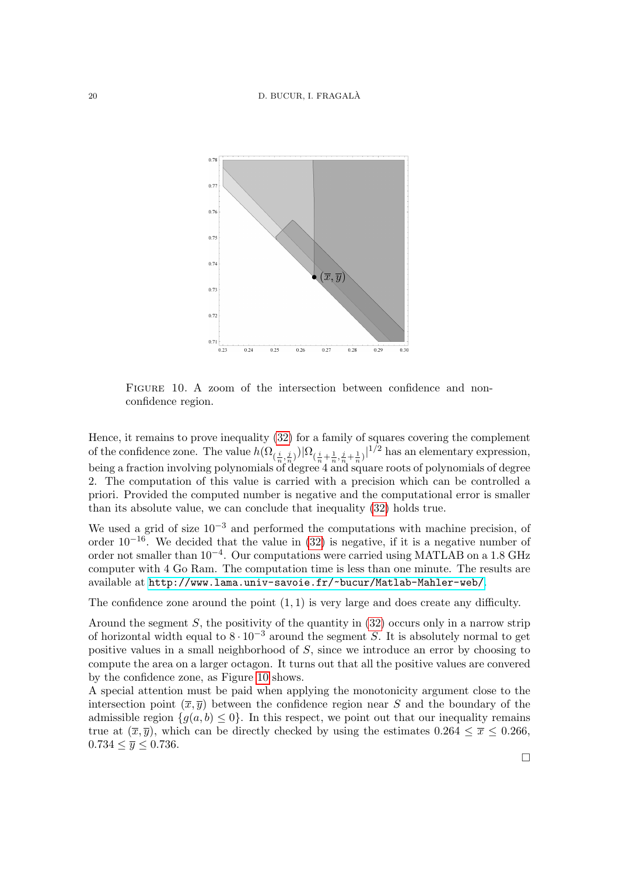### 20 D. BUCUR, I. FRAGALA`



<span id="page-19-0"></span>FIGURE 10. A zoom of the intersection between confidence and nonconfidence region.

Hence, it remains to prove inequality [\(32\)](#page-18-2) for a family of squares covering the complement of the confidence zone. The value  $h(\Omega_{(\frac{i}{n},\frac{j}{n})})|\Omega_{(\frac{i}{n}+\frac{1}{n},\frac{j}{n}+\frac{1}{n})}|^{1/2}$  has an elementary expression, being a fraction involving polynomials of degree 4 and square roots of polynomials of degree 2. The computation of this value is carried with a precision which can be controlled a priori. Provided the computed number is negative and the computational error is smaller than its absolute value, we can conclude that inequality [\(32\)](#page-18-2) holds true.

We used a grid of size  $10^{-3}$  and performed the computations with machine precision, of order  $10^{-16}$ . We decided that the value in [\(32\)](#page-18-2) is negative, if it is a negative number of order not smaller than 10<sup>-4</sup>. Our computations were carried using MATLAB on a 1.8 GHz computer with 4 Go Ram. The computation time is less than one minute. The results are available at <http://www.lama.univ-savoie.fr/~bucur/Matlab-Mahler-web/>.

The confidence zone around the point  $(1, 1)$  is very large and does create any difficulty.

Around the segment  $S$ , the positivity of the quantity in  $(32)$  occurs only in a narrow strip of horizontal width equal to  $8 \cdot 10^{-3}$  around the segment S. It is absolutely normal to get positive values in a small neighborhood of  $S$ , since we introduce an error by choosing to compute the area on a larger octagon. It turns out that all the positive values are convered by the confidence zone, as Figure [10](#page-19-0) shows.

A special attention must be paid when applying the monotonicity argument close to the intersection point  $(\overline{x}, \overline{y})$  between the confidence region near S and the boundary of the admissible region  $\{g(a, b) \leq 0\}$ . In this respect, we point out that our inequality remains true at  $(\bar{x}, \bar{y})$ , which can be directly checked by using the estimates  $0.264 \le \bar{x} \le 0.266$ ,  $0.734 \leq \overline{y} \leq 0.736$ .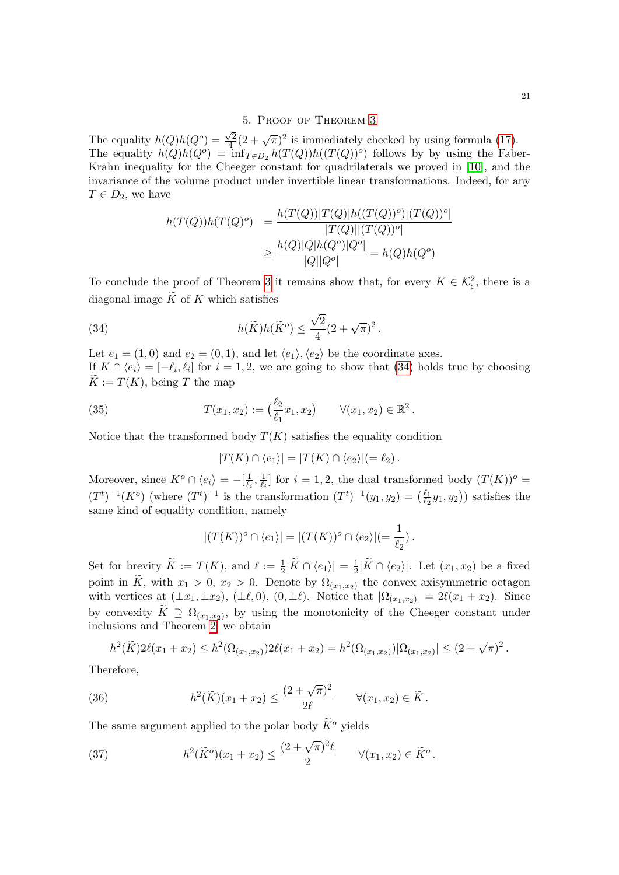# 5. Proof of Theorem [3](#page-4-1)

<span id="page-20-0"></span>The equality  $h(Q)h(Q^o) =$  $\sqrt{2}$  $\sqrt{\frac{2}{4}}(2+\sqrt{\pi})^2$  is immediately checked by using formula [\(17\)](#page-5-4). The equality  $h(Q)h(Q^o) = \inf_{T \in D_2} h(T(Q))h((T(Q))^o)$  follows by by using the Faber-Krahn inequality for the Cheeger constant for quadrilaterals we proved in [\[10\]](#page-21-12), and the invariance of the volume product under invertible linear transformations. Indeed, for any  $T \in D_2$ , we have

<span id="page-20-1"></span>
$$
h(T(Q))h(T(Q)^o) = \frac{h(T(Q))|T(Q)|h((T(Q))^o)|(T(Q))^o|}{|T(Q)||(T(Q))^o|}
$$

$$
\geq \frac{h(Q)|Q|h(Q^o)|Q^o|}{|Q||Q^o|} = h(Q)h(Q^o)
$$

To conclude the proof of Theorem [3](#page-4-1) it remains show that, for every  $K \in \mathcal{K}_{\sharp}^2$ , there is a diagonal image  $\widetilde{K}$  of K which satisfies

(34) 
$$
h(\widetilde{K})h(\widetilde{K}^o) \leq \frac{\sqrt{2}}{4}(2+\sqrt{\pi})^2.
$$

Let  $e_1 = (1,0)$  and  $e_2 = (0,1)$ , and let  $\langle e_1 \rangle, \langle e_2 \rangle$  be the coordinate axes. If  $K \cap \langle e_i \rangle = [-\ell_i, \ell_i]$  for  $i = 1, 2$ , we are going to show that [\(34\)](#page-20-1) holds true by choosing  $\widetilde{K} := T(K)$ , being T the map

(35) 
$$
T(x_1,x_2) := \left(\frac{\ell_2}{\ell_1}x_1,x_2\right) \quad \forall (x_1,x_2) \in \mathbb{R}^2.
$$

Notice that the transformed body  $T(K)$  satisfies the equality condition

$$
|T(K) \cap \langle e_1 \rangle| = |T(K) \cap \langle e_2 \rangle| = \ell_2).
$$

Moreover, since  $K^o \cap \langle e_i \rangle = -\left[\frac{1}{\ell}\right]$  $\frac{1}{\ell_i}, \frac{1}{\ell_i}$  $\frac{1}{\ell_i}$  for  $i = 1, 2$ , the dual transformed body  $(T(K))^o$  =  $(T^t)^{-1}(K^o)$  (where  $(T^t)^{-1}$  is the transformation  $(T^t)^{-1}(y_1, y_2) = \left(\frac{\ell_1}{\ell_2}\right)$  $(\frac{\ell_1}{\ell_2}y_1, y_2)$  satisfies the same kind of equality condition, namely

$$
|(T(K))^\circ \cap \langle e_1 \rangle| = |(T(K))^\circ \cap \langle e_2 \rangle| = \frac{1}{\ell_2}).
$$

Set for brevity  $\widetilde{K} := T(K)$ , and  $\ell := \frac{1}{2} |\widetilde{K} \cap \langle e_1 \rangle| = \frac{1}{2}$  $\frac{1}{2}|K \cap \langle e_2 \rangle|$ . Let  $(x_1, x_2)$  be a fixed point in K, with  $x_1 > 0$ ,  $x_2 > 0$ . Denote by  $\Omega_{(x_1,x_2)}$  the convex axisymmetric octagon with vertices at  $(\pm x_1, \pm x_2), (\pm \ell, 0), (0, \pm \ell)$ . Notice that  $|\Omega_{(x_1, x_2)}| = 2\ell(x_1 + x_2)$ . Since by convexity  $K \supseteq \Omega_{(x_1,x_2)}$ , by using the monotonicity of the Cheeger constant under inclusions and Theorem [2,](#page-2-4) we obtain

<span id="page-20-2"></span>
$$
h^{2}(\widetilde{K})2\ell(x_{1}+x_{2}) \leq h^{2}(\Omega_{(x_{1},x_{2})})2\ell(x_{1}+x_{2}) = h^{2}(\Omega_{(x_{1},x_{2})})|\Omega_{(x_{1},x_{2})}| \leq (2+\sqrt{\pi})^{2}.
$$

Therefore,

(36) 
$$
h^{2}(\widetilde{K})(x_{1}+x_{2}) \leq \frac{(2+\sqrt{\pi})^{2}}{2\ell} \quad \forall (x_{1},x_{2}) \in \widetilde{K}.
$$

The same argument applied to the polar body  $\widetilde{K}^o$  yields

<span id="page-20-3"></span>(37) 
$$
h^{2}(\widetilde{K}^{o})(x_{1}+x_{2}) \leq \frac{(2+\sqrt{\pi})^{2}\ell}{2} \quad \forall (x_{1},x_{2}) \in \widetilde{K}^{o}.
$$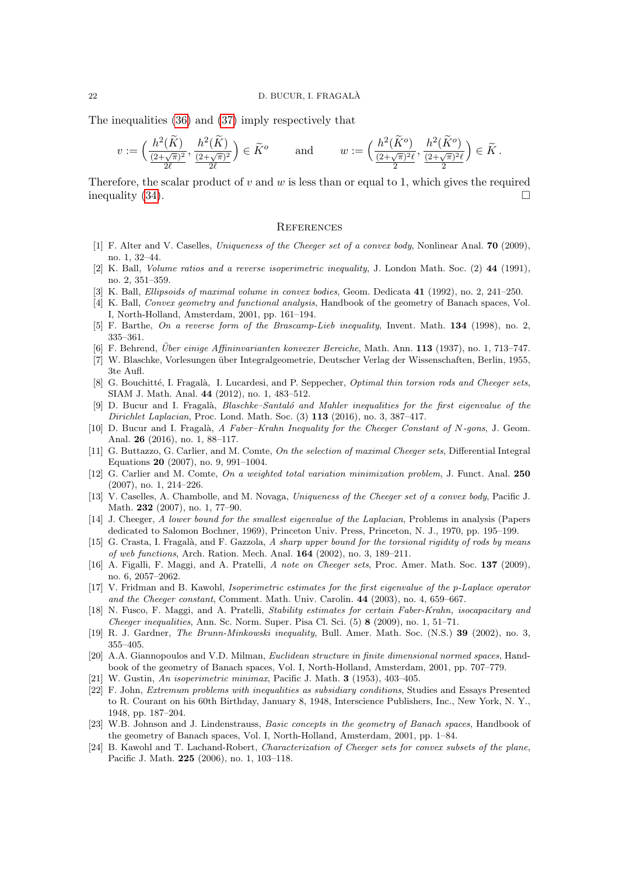The inequalities [\(36\)](#page-20-2) and [\(37\)](#page-20-3) imply respectively that

$$
v := \left(\frac{h^2(\widetilde{K})}{\frac{(2+\sqrt{\pi})^2}{2\ell}}, \frac{h^2(\widetilde{K})}{\frac{(2+\sqrt{\pi})^2}{2\ell}}\right) \in \widetilde{K}^o \quad \text{and} \quad w := \left(\frac{h^2(\widetilde{K}^o)}{\frac{(2+\sqrt{\pi})^2\ell}{2}}, \frac{h^2(\widetilde{K}^o)}{\frac{(2+\sqrt{\pi})^2\ell}{2}}\right) \in \widetilde{K}.
$$

Therefore, the scalar product of v and w is less than or equal to 1, which gives the required inequality  $(34)$ .

### **REFERENCES**

- <span id="page-21-9"></span>[1] F. Alter and V. Caselles, Uniqueness of the Cheeger set of a convex body, Nonlinear Anal. 70 (2009), no. 1, 32–44.
- <span id="page-21-0"></span>[2] K. Ball, Volume ratios and a reverse isoperimetric inequality, J. London Math. Soc. (2) 44 (1991), no. 2, 351–359.
- <span id="page-21-21"></span>[3] K. Ball, Ellipsoids of maximal volume in convex bodies, Geom. Dedicata 41 (1992), no. 2, 241–250.
- <span id="page-21-4"></span>[4] K. Ball, Convex geometry and functional analysis, Handbook of the geometry of Banach spaces, Vol. I, North-Holland, Amsterdam, 2001, pp. 161–194.
- <span id="page-21-3"></span>[5] F. Barthe, On a reverse form of the Brascamp-Lieb inequality, Invent. Math. 134 (1998), no. 2, 335–361.
- <span id="page-21-2"></span>[6] F. Behrend, *Über einige Affininvarianten konvexer Bereiche*, Math. Ann. **113** (1937), no. 1, 713–747.
- <span id="page-21-6"></span>[7] W. Blaschke, Vorlesungen über Integralgeometrie, Deutscher Verlag der Wissenschaften, Berlin, 1955, 3te Aufl.
- <span id="page-21-10"></span>[8] G. Bouchitté, I. Fragalà, I. Lucardesi, and P. Seppecher, Optimal thin torsion rods and Cheeger sets, SIAM J. Math. Anal. 44 (2012), no. 1, 483–512.
- <span id="page-21-7"></span>[9] D. Bucur and I. Fragalà, *Blaschke–Santaló and Mahler inequalities for the first eigenvalue of the* Dirichlet Laplacian, Proc. Lond. Math. Soc. (3) 113 (2016), no. 3, 387–417.
- <span id="page-21-12"></span>[10] D. Bucur and I. Fragalà, A Faber–Krahn Inequality for the Cheeger Constant of N-gons, J. Geom. Anal. 26 (2016), no. 1, 88–117.
- <span id="page-21-11"></span>[11] G. Buttazzo, G. Carlier, and M. Comte, On the selection of maximal Cheeger sets, Differential Integral Equations 20 (2007), no. 9, 991–1004.
- <span id="page-21-13"></span>[12] G. Carlier and M. Comte, On a weighted total variation minimization problem, J. Funct. Anal. 250 (2007), no. 1, 214–226.
- <span id="page-21-14"></span>[13] V. Caselles, A. Chambolle, and M. Novaga, *Uniqueness of the Cheeger set of a convex body*, Pacific J. Math. 232 (2007), no. 1, 77–90.
- <span id="page-21-8"></span>[14] J. Cheeger, A lower bound for the smallest eigenvalue of the Laplacian, Problems in analysis (Papers dedicated to Salomon Bochner, 1969), Princeton Univ. Press, Princeton, N. J., 1970, pp. 195–199.
- <span id="page-21-19"></span>[15] G. Crasta, I. Fragalà, and F. Gazzola, A sharp upper bound for the torsional rigidity of rods by means of web functions, Arch. Ration. Mech. Anal. 164 (2002), no. 3, 189–211.
- <span id="page-21-15"></span>[16] A. Figalli, F. Maggi, and A. Pratelli, A note on Cheeger sets, Proc. Amer. Math. Soc. 137 (2009), no. 6, 2057–2062.
- <span id="page-21-16"></span>[17] V. Fridman and B. Kawohl, Isoperimetric estimates for the first eigenvalue of the p-Laplace operator and the Cheeger constant, Comment. Math. Univ. Carolin. 44 (2003), no. 4, 659–667.
- <span id="page-21-17"></span>[18] N. Fusco, F. Maggi, and A. Pratelli, Stability estimates for certain Faber-Krahn, isocapacitary and *Cheeger inequalities, Ann. Sc. Norm. Super. Pisa Cl. Sci.*  $(5)$  8  $(2009)$ , no. 1, 51–71.
- <span id="page-21-5"></span>[19] R. J. Gardner, The Brunn-Minkowski inequality, Bull. Amer. Math. Soc. (N.S.) 39 (2002), no. 3, 355–405.
- <span id="page-21-22"></span>[20] A.A. Giannopoulos and V.D. Milman, *Euclidean structure in finite dimensional normed spaces*, Handbook of the geometry of Banach spaces, Vol. I, North-Holland, Amsterdam, 2001, pp. 707–779.
- <span id="page-21-1"></span>[21] W. Gustin, An isoperimetric minimax, Pacific J. Math. 3 (1953), 403–405.
- <span id="page-21-20"></span>[22] F. John, Extremum problems with inequalities as subsidiary conditions, Studies and Essays Presented to R. Courant on his 60th Birthday, January 8, 1948, Interscience Publishers, Inc., New York, N. Y., 1948, pp. 187–204.
- <span id="page-21-23"></span>[23] W.B. Johnson and J. Lindenstrauss, *Basic concepts in the geometry of Banach spaces*, Handbook of the geometry of Banach spaces, Vol. I, North-Holland, Amsterdam, 2001, pp. 1–84.
- <span id="page-21-18"></span>[24] B. Kawohl and T. Lachand-Robert, Characterization of Cheeger sets for convex subsets of the plane, Pacific J. Math. 225 (2006), no. 1, 103–118.